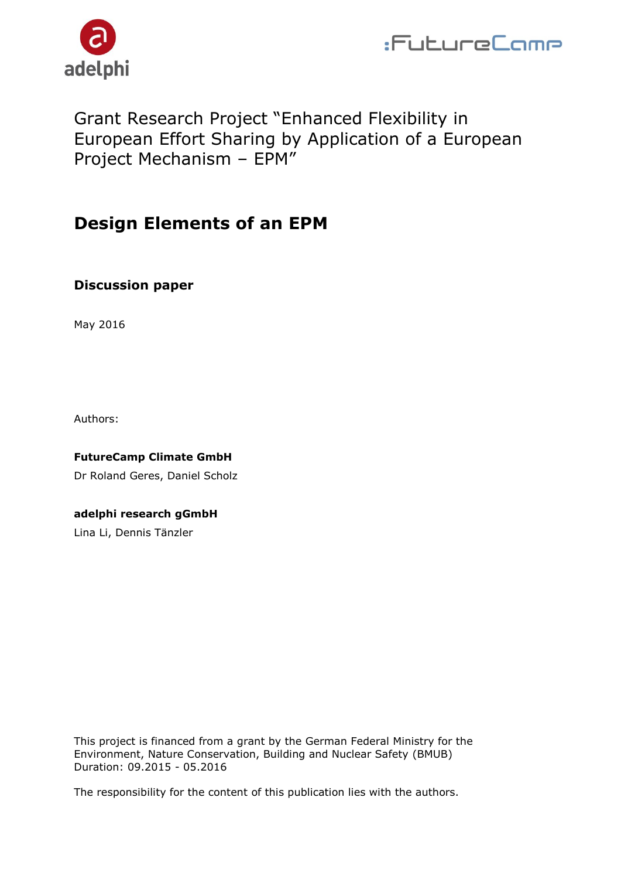



# Grant Research Project "Enhanced Flexibility in European Effort Sharing by Application of a European Project Mechanism – EPM"

# **Design Elements of an EPM**

## **Discussion paper**

May 2016

Authors:

**FutureCamp Climate GmbH** Dr Roland Geres, Daniel Scholz

**adelphi research gGmbH** 

Lina Li, Dennis Tänzler

This project is financed from a grant by the German Federal Ministry for the Environment, Nature Conservation, Building and Nuclear Safety (BMUB) Duration: 09.2015 - 05.2016

The responsibility for the content of this publication lies with the authors.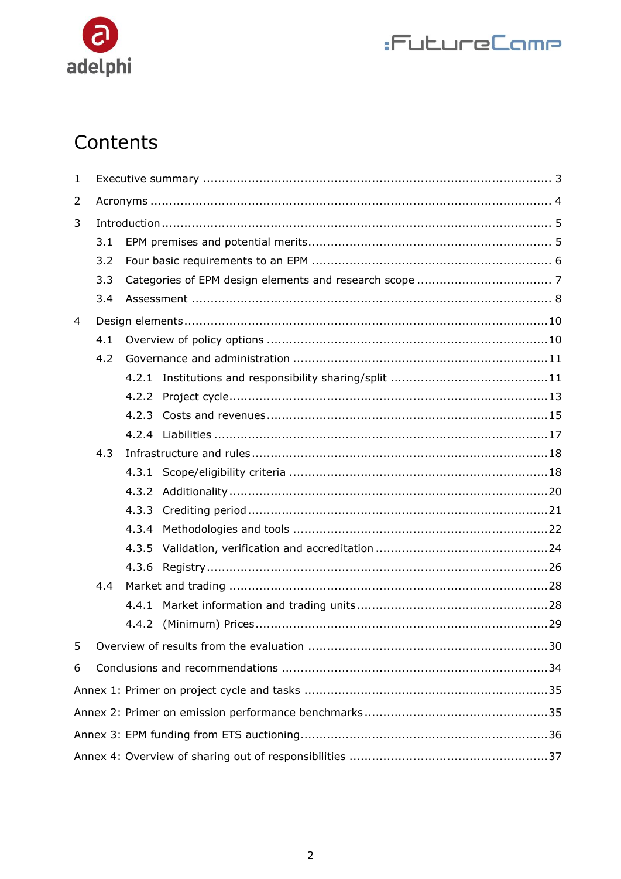

# :FutureCamp

# Contents

| $\mathbf{1}$ |     |       |  |  |  |  |  |
|--------------|-----|-------|--|--|--|--|--|
| 2            |     |       |  |  |  |  |  |
| 3            |     |       |  |  |  |  |  |
|              | 3.1 |       |  |  |  |  |  |
|              | 3.2 |       |  |  |  |  |  |
|              | 3.3 |       |  |  |  |  |  |
|              | 3.4 |       |  |  |  |  |  |
| 4            |     |       |  |  |  |  |  |
|              | 4.1 |       |  |  |  |  |  |
|              | 4.2 |       |  |  |  |  |  |
|              |     |       |  |  |  |  |  |
|              |     |       |  |  |  |  |  |
|              |     |       |  |  |  |  |  |
|              |     |       |  |  |  |  |  |
|              | 4.3 |       |  |  |  |  |  |
|              |     |       |  |  |  |  |  |
|              |     |       |  |  |  |  |  |
|              |     | 4.3.3 |  |  |  |  |  |
|              |     | 4.3.4 |  |  |  |  |  |
|              |     | 4.3.5 |  |  |  |  |  |
|              |     | 4.3.6 |  |  |  |  |  |
|              | 4.4 |       |  |  |  |  |  |
|              |     |       |  |  |  |  |  |
|              |     |       |  |  |  |  |  |
| 5            |     |       |  |  |  |  |  |
| 6            |     |       |  |  |  |  |  |
|              |     |       |  |  |  |  |  |
|              |     |       |  |  |  |  |  |
|              |     |       |  |  |  |  |  |
|              |     |       |  |  |  |  |  |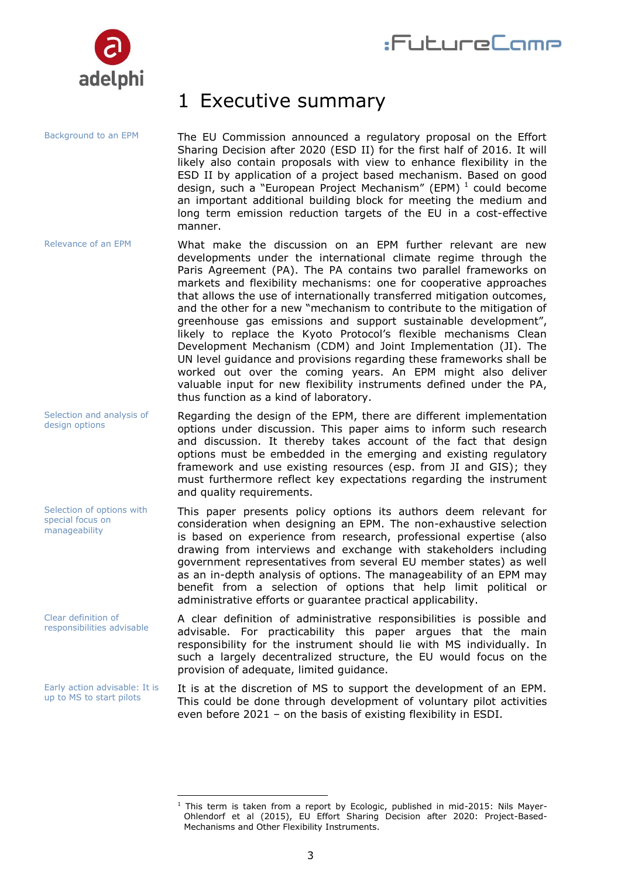



# <span id="page-2-0"></span>1 Executive summary

The EU Commission announced a regulatory proposal on the Effort Sharing Decision after 2020 (ESD II) for the first half of 2016. It will likely also contain proposals with view to enhance flexibility in the ESD II by application of a project based mechanism. Based on good design, such a "European Project Mechanism" (EPM)  $1$  could become an important additional building block for meeting the medium and long term emission reduction targets of the EU in a cost-effective manner. Background to an EPM

- What make the discussion on an EPM further relevant are new developments under the international climate regime through the Paris Agreement (PA). The PA contains two parallel frameworks on markets and flexibility mechanisms: one for cooperative approaches that allows the use of internationally transferred mitigation outcomes, and the other for a new "mechanism to contribute to the mitigation of greenhouse gas emissions and support sustainable development", likely to replace the Kyoto Protocol's flexible mechanisms Clean Development Mechanism (CDM) and Joint Implementation (JI). The UN level guidance and provisions regarding these frameworks shall be worked out over the coming years. An EPM might also deliver valuable input for new flexibility instruments defined under the PA, thus function as a kind of laboratory. Relevance of an EPM
- Regarding the design of the EPM, there are different implementation options under discussion. This paper aims to inform such research and discussion. It thereby takes account of the fact that design options must be embedded in the emerging and existing regulatory framework and use existing resources (esp. from JI and GIS); they must furthermore reflect key expectations regarding the instrument and quality requirements. design options

This paper presents policy options its authors deem relevant for consideration when designing an EPM. The non-exhaustive selection is based on experience from research, professional expertise (also drawing from interviews and exchange with stakeholders including government representatives from several EU member states) as well as an in-depth analysis of options. The manageability of an EPM may benefit from a selection of options that help limit political or administrative efforts or guarantee practical applicability.

A clear definition of administrative responsibilities is possible and advisable. For practicability this paper argues that the main responsibility for the instrument should lie with MS individually. In such a largely decentralized structure, the EU would focus on the provision of adequate, limited guidance.

It is at the discretion of MS to support the development of an EPM. This could be done through development of voluntary pilot activities even before 2021 – on the basis of existing flexibility in ESDI.

Selection and analysis of

manageability

Selection of options with

special focus on

Clear definition of responsibilities advisable

Early action advisable: It is up to MS to start pilots

-

 $1$  This term is taken from a report by Ecologic, published in mid-2015: Nils Mayer-Ohlendorf et al (2015), EU Effort Sharing Decision after 2020: Project-Based-Mechanisms and Other Flexibility Instruments.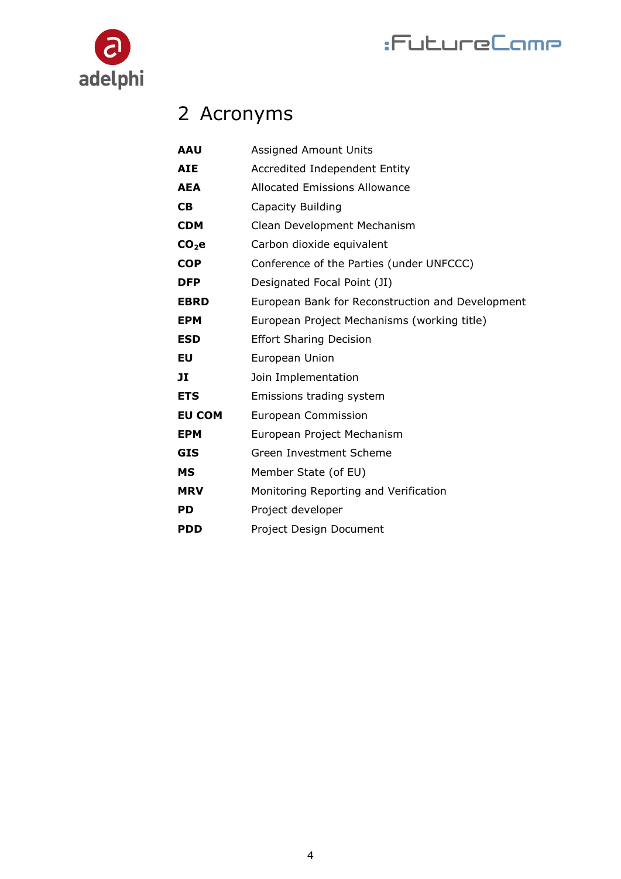



# <span id="page-3-0"></span>2 Acronyms

| <b>AAU</b>        | <b>Assigned Amount Units</b>                     |
|-------------------|--------------------------------------------------|
| <b>AIE</b>        | Accredited Independent Entity                    |
| <b>AEA</b>        | <b>Allocated Emissions Allowance</b>             |
| <b>CB</b>         | Capacity Building                                |
| <b>CDM</b>        | Clean Development Mechanism                      |
| CO <sub>2</sub> e | Carbon dioxide equivalent                        |
| <b>COP</b>        | Conference of the Parties (under UNFCCC)         |
| <b>DFP</b>        | Designated Focal Point (JI)                      |
| <b>EBRD</b>       | European Bank for Reconstruction and Development |
| <b>EPM</b>        | European Project Mechanisms (working title)      |
| <b>ESD</b>        | <b>Effort Sharing Decision</b>                   |
| EU                | European Union                                   |
| JI                | Join Implementation                              |
| <b>ETS</b>        | Emissions trading system                         |
| <b>EU COM</b>     | <b>European Commission</b>                       |
| <b>EPM</b>        | European Project Mechanism                       |
| <b>GIS</b>        | Green Investment Scheme                          |
| <b>MS</b>         | Member State (of EU)                             |
| <b>MRV</b>        | Monitoring Reporting and Verification            |
| <b>PD</b>         | Project developer                                |
| <b>PDD</b>        | Project Design Document                          |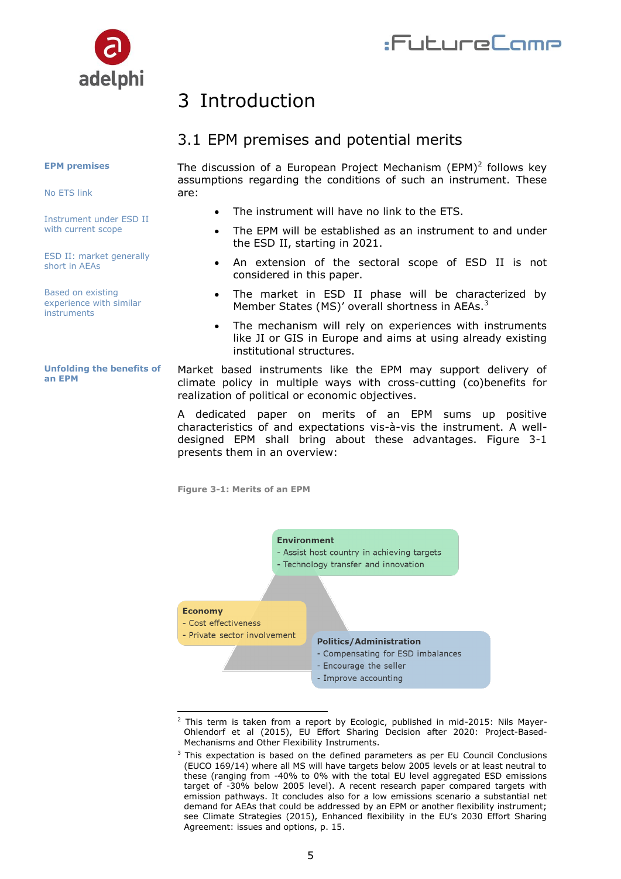

# <span id="page-4-0"></span>3 Introduction

## <span id="page-4-1"></span>3.1 EPM premises and potential merits

| <b>EPM premises</b>                                                | The discussion of a European Project Mechanism (EPM) <sup>2</sup> follows key<br>assumptions regarding the conditions of such an instrument. These                                                                              |  |  |  |  |  |  |
|--------------------------------------------------------------------|---------------------------------------------------------------------------------------------------------------------------------------------------------------------------------------------------------------------------------|--|--|--|--|--|--|
| No ETS link                                                        | are:                                                                                                                                                                                                                            |  |  |  |  |  |  |
| Instrument under ESD II                                            | The instrument will have no link to the ETS.<br>$\bullet$                                                                                                                                                                       |  |  |  |  |  |  |
| with current scope                                                 | The EPM will be established as an instrument to and under<br>$\bullet$<br>the ESD II, starting in 2021.                                                                                                                         |  |  |  |  |  |  |
| ESD II: market generally<br>short in AEAs                          | An extension of the sectoral scope of ESD II is not<br>$\bullet$<br>considered in this paper.                                                                                                                                   |  |  |  |  |  |  |
| <b>Based on existing</b><br>experience with similar<br>instruments | The market in ESD II phase will be characterized by<br>$\bullet$<br>Member States (MS)' overall shortness in AEAs. <sup>3</sup>                                                                                                 |  |  |  |  |  |  |
|                                                                    | The mechanism will rely on experiences with instruments<br>$\bullet$<br>like JI or GIS in Europe and aims at using already existing<br>institutional structures.                                                                |  |  |  |  |  |  |
| <b>Unfolding the benefits of</b><br>an EPM                         | Market based instruments like the EPM may support delivery of<br>climate policy in multiple ways with cross-cutting (co)benefits for<br>realization of political or economic objectives.                                        |  |  |  |  |  |  |
|                                                                    | A dedicated paper on merits of an EPM sums up positive<br>characteristics of and expectations vis-à-vis the instrument. A well-<br>designed EPM shall bring about these advantages. Figure 3-1<br>presents them in an overview: |  |  |  |  |  |  |
|                                                                    | Figure 3-1: Merits of an EPM                                                                                                                                                                                                    |  |  |  |  |  |  |
|                                                                    |                                                                                                                                                                                                                                 |  |  |  |  |  |  |
|                                                                    | <b>Environment</b>                                                                                                                                                                                                              |  |  |  |  |  |  |
|                                                                    | - Assist host country in achieving targets<br>- Technology transfer and innovation                                                                                                                                              |  |  |  |  |  |  |
|                                                                    |                                                                                                                                                                                                                                 |  |  |  |  |  |  |
|                                                                    | <b>Economy</b><br>- Cost effectiveness                                                                                                                                                                                          |  |  |  |  |  |  |

- Private sector involvement

- **Politics/Administration** - Compensating for ESD imbalances
	- Encourage the seller
	- Improve accounting

<sup>-</sup><sup>2</sup> This term is taken from a report by Ecologic, published in mid-2015: Nils Mayer-Ohlendorf et al (2015), EU Effort Sharing Decision after 2020: Project-Based-Mechanisms and Other Flexibility Instruments.

 $3$  This expectation is based on the defined parameters as per EU Council Conclusions (EUCO 169/14) where all MS will have targets below 2005 levels or at least neutral to these (ranging from -40% to 0% with the total EU level aggregated ESD emissions target of -30% below 2005 level). A recent research paper compared targets with emission pathways. It concludes also for a low emissions scenario a substantial net demand for AEAs that could be addressed by an EPM or another flexibility instrument; see Climate Strategies (2015), Enhanced flexibility in the EU's 2030 Effort Sharing Agreement: issues and options, p. 15.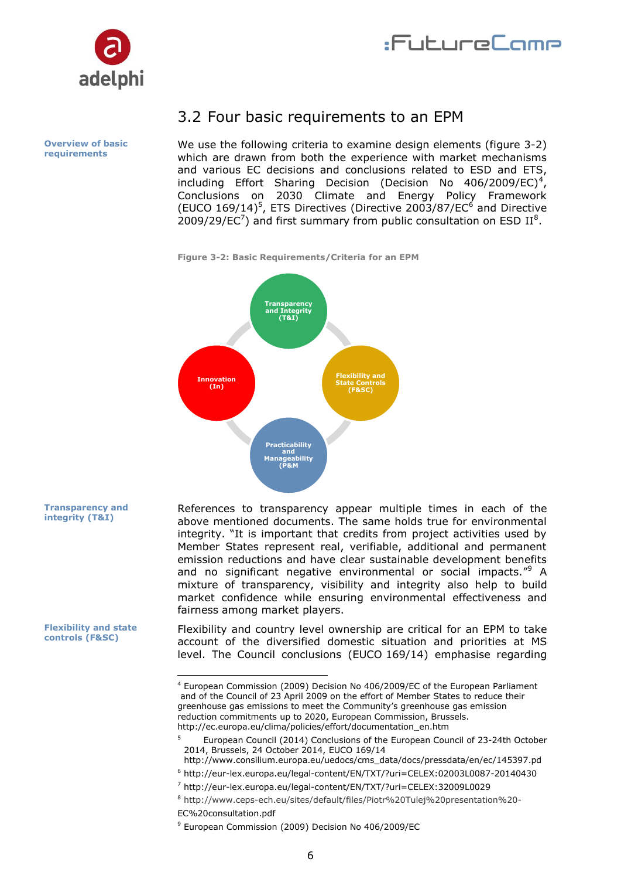

**Overview of basic requirements**



# <span id="page-5-0"></span>3.2 Four basic requirements to an EPM

We use the following criteria to examine design elements (figure 3-2) which are drawn from both the experience with market mechanisms and various EC decisions and conclusions related to ESD and ETS, including Effort Sharing Decision (Decision No 406/2009/EC)<sup>4</sup>, Conclusions on 2030 Climate and Energy Policy Framework (EUCO  $169/14$ <sup>5</sup>, ETS Directives (Directive 2003/87/EC $<sup>6</sup>$  and Directive</sup>  $2009/29/EC^7$ ) and first summary from public consultation on ESD II<sup>8</sup>.

**Figure 3-2: Basic Requirements/Criteria for an EPM**



#### **Transparency and integrity (T&I)**

**Flexibility and state controls (F&SC)**

-

References to transparency appear multiple times in each of the above mentioned documents. The same holds true for environmental integrity. "It is important that credits from project activities used by Member States represent real, verifiable, additional and permanent emission reductions and have clear sustainable development benefits and no significant negative environmental or social impacts."<sup>9</sup> A mixture of transparency, visibility and integrity also help to build market confidence while ensuring environmental effectiveness and fairness among market players.

Flexibility and country level ownership are critical for an EPM to take account of the diversified domestic situation and priorities at MS level. The Council conclusions (EUCO 169/14) emphasise regarding

http://www.consilium.europa.eu/uedocs/cms\_data/docs/pressdata/en/ec/145397.pd

<sup>4</sup> European Commission (2009) Decision No 406/2009/EC of the European Parliament and of the Council of 23 April 2009 on the effort of Member States to reduce their greenhouse gas emissions to meet the Community's greenhouse gas emission reduction commitments up to 2020, European Commission, Brussels. http://ec.europa.eu/clima/policies/effort/documentation\_en.htm

<sup>5</sup> European Council (2014) Conclusions of the European Council of 23-24th October 2014, Brussels, 24 October 2014, EUCO 169/14

<sup>6</sup> http://eur-lex.europa.eu/legal-content/EN/TXT/?uri=CELEX:02003L0087-20140430

<sup>7</sup> http://eur-lex.europa.eu/legal-content/EN/TXT/?uri=CELEX:32009L0029

<sup>8</sup> <http://www.ceps-ech.eu/sites/default/files/Piotr%20Tulej%20presentation%20-> EC%20consultation.pdf

<sup>9</sup> European Commission (2009) Decision No 406/2009/EC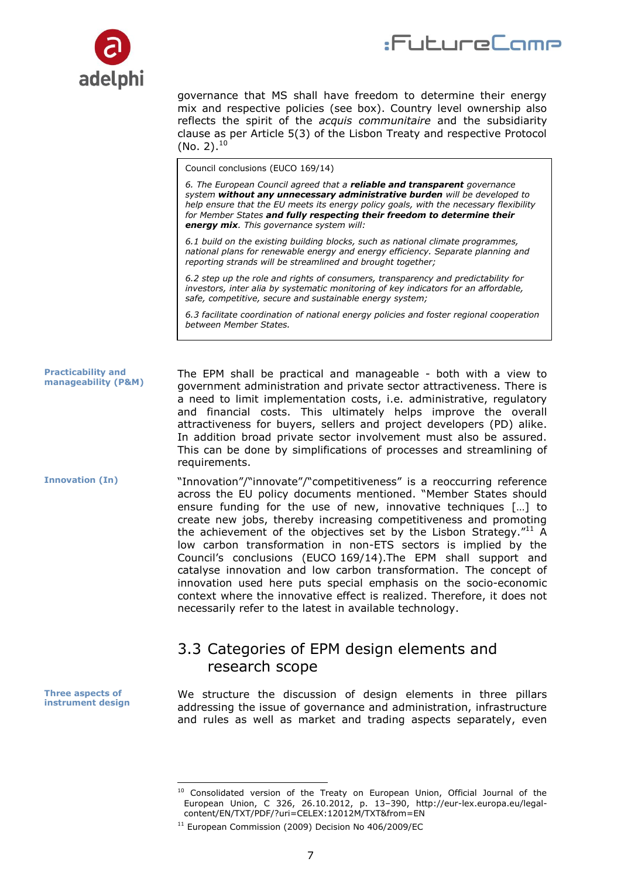



governance that MS shall have freedom to determine their energy mix and respective policies (see box). Country level ownership also reflects the spirit of the *acquis communitaire* and the subsidiarity clause as per Article 5(3) of the Lisbon Treaty and respective Protocol  $(No. 2).<sup>10</sup>$ 

Council conclusions (EUCO 169/14)

*6. The European Council agreed that a reliable and transparent governance system without any unnecessary administrative burden will be developed to help ensure that the EU meets its energy policy goals, with the necessary flexibility for Member States and fully respecting their freedom to determine their energy mix. This governance system will:*

*6.1 build on the existing building blocks, such as national climate programmes, national plans for renewable energy and energy efficiency. Separate planning and reporting strands will be streamlined and brought together;* 

*6.2 step up the role and rights of consumers, transparency and predictability for investors, inter alia by systematic monitoring of key indicators for an affordable, safe, competitive, secure and sustainable energy system;* 

*6.3 facilitate coordination of national energy policies and foster regional cooperation between Member States.*

The EPM shall be practical and manageable - both with a view to government administration and private sector attractiveness. There is a need to limit implementation costs, i.e. administrative, regulatory and financial costs. This ultimately helps improve the overall attractiveness for buyers, sellers and project developers (PD) alike. In addition broad private sector involvement must also be assured. This can be done by simplifications of processes and streamlining of requirements. **Practicability and manageability (P&M)**

"Innovation"/"innovate"/"competitiveness" is a reoccurring reference across the EU policy documents mentioned. "Member States should ensure funding for the use of new, innovative techniques […] to create new jobs, thereby increasing competitiveness and promoting the achievement of the objectives set by the Lisbon Strategy." $^{11}$  A low carbon transformation in non-ETS sectors is implied by the Council's conclusions (EUCO 169/14).The EPM shall support and catalyse innovation and low carbon transformation. The concept of innovation used here puts special emphasis on the socio-economic context where the innovative effect is realized. Therefore, it does not necessarily refer to the latest in available technology. **Innovation (In)**

## <span id="page-6-0"></span>3.3 Categories of EPM design elements and research scope

**Three aspects of instrument design** We structure the discussion of design elements in three pillars addressing the issue of governance and administration, infrastructure and rules as well as market and trading aspects separately, even

<sup>-</sup><sup>10</sup> Consolidated version of the Treaty on European Union, Official Journal of the European Union, C 326, 26.10.2012, p. 13–390, http://eur-lex.europa.eu/legalcontent/EN/TXT/PDF/?uri=CELEX:12012M/TXT&from=EN

<sup>&</sup>lt;sup>11</sup> European Commission (2009) Decision No 406/2009/EC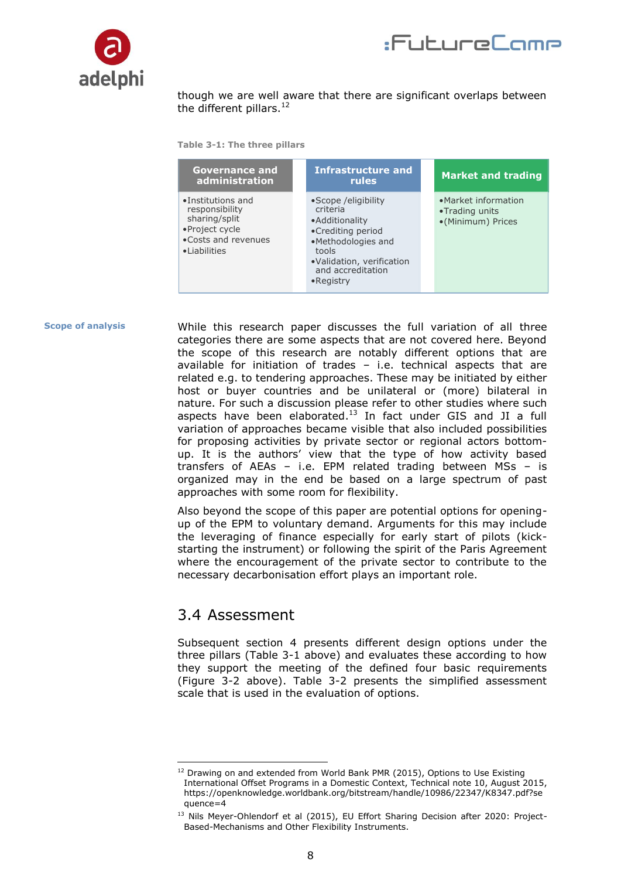



though we are well aware that there are significant overlaps between the different pillars.<sup>12</sup>

**Table 3-1: The three pillars**

| <b>Governance and</b><br>administration                                                                        | <b>Infrastructure and</b><br>rules                                                                                                                                       | <b>Market and trading</b>                                  |
|----------------------------------------------------------------------------------------------------------------|--------------------------------------------------------------------------------------------------------------------------------------------------------------------------|------------------------------------------------------------|
| •Institutions and<br>responsibility<br>sharing/split<br>• Project cycle<br>•Costs and revenues<br>•Liabilities | • Scope / eligibility<br>criteria<br>• Additionality<br>•Crediting period<br>•Methodologies and<br>tools<br>•Validation, verification<br>and accreditation<br>• Registry | •Market information<br>•Trading units<br>•(Minimum) Prices |

#### **Scope of analysis**

While this research paper discusses the full variation of all three categories there are some aspects that are not covered here. Beyond the scope of this research are notably different options that are available for initiation of trades – i.e. technical aspects that are related e.g. to tendering approaches. These may be initiated by either host or buyer countries and be unilateral or (more) bilateral in nature. For such a discussion please refer to other studies where such aspects have been elaborated.<sup>13</sup> In fact under GIS and JI a full variation of approaches became visible that also included possibilities for proposing activities by private sector or regional actors bottomup. It is the authors' view that the type of how activity based transfers of AEAs – i.e. EPM related trading between MSs – is organized may in the end be based on a large spectrum of past approaches with some room for flexibility.

Also beyond the scope of this paper are potential options for openingup of the EPM to voluntary demand. Arguments for this may include the leveraging of finance especially for early start of pilots (kickstarting the instrument) or following the spirit of the Paris Agreement where the encouragement of the private sector to contribute to the necessary decarbonisation effort plays an important role.

## <span id="page-7-0"></span>3.4 Assessment

Subsequent section 4 presents different design options under the three pillars (Table 3-1 above) and evaluates these according to how they support the meeting of the defined four basic requirements (Figure 3-2 above). Table 3-2 presents the simplified assessment scale that is used in the evaluation of options.

<sup>-</sup><sup>12</sup> Drawing on and extended from World Bank PMR (2015), Options to Use Existing International Offset Programs in a Domestic Context, Technical note 10, August 2015, https://openknowledge.worldbank.org/bitstream/handle/10986/22347/K8347.pdf?se quence=4

<sup>&</sup>lt;sup>13</sup> Nils Meyer-Ohlendorf et al (2015), EU Effort Sharing Decision after 2020: Project-Based-Mechanisms and Other Flexibility Instruments.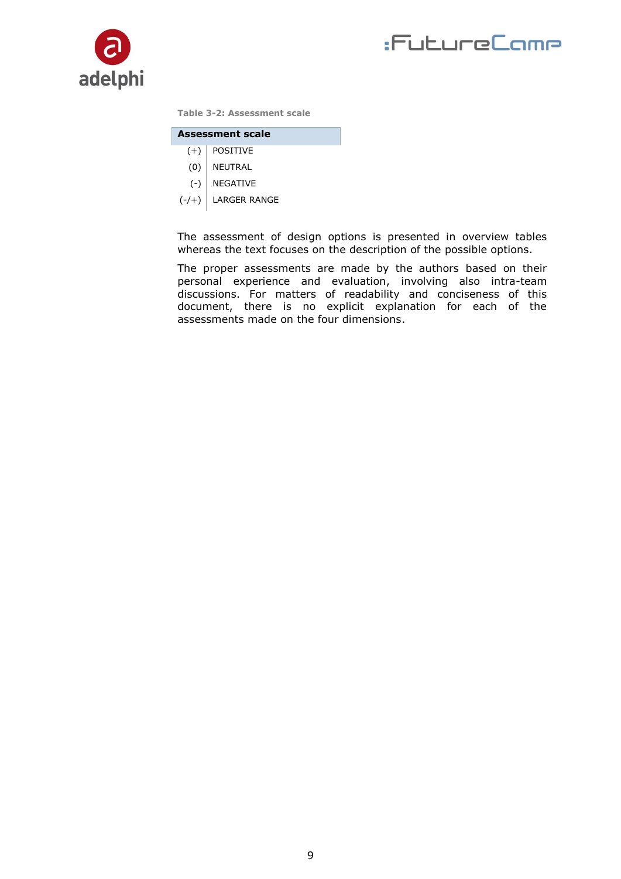

# :FutureCamp

**Table 3-2: Assessment scale**

#### **Assessment scale**

- (+) POSITIVE
- (0) NEUTRAL
- (-) NEGATIVE
- (-/+) LARGER RANGE

The assessment of design options is presented in overview tables whereas the text focuses on the description of the possible options.

The proper assessments are made by the authors based on their personal experience and evaluation, involving also intra-team discussions. For matters of readability and conciseness of this document, there is no explicit explanation for each of the assessments made on the four dimensions.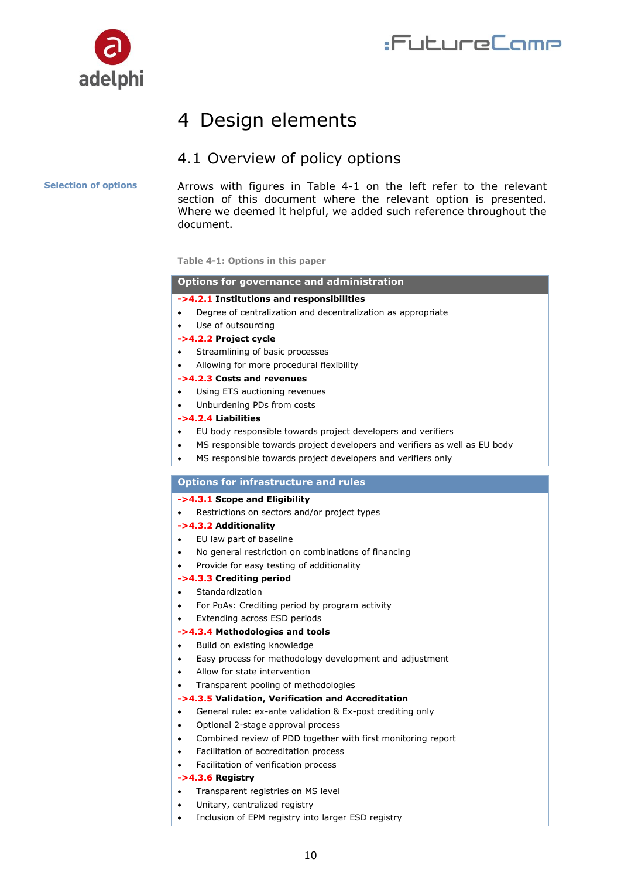



# <span id="page-9-0"></span>4 Design elements

## <span id="page-9-1"></span>4.1 Overview of policy options

#### **Selection of options**

Arrows with figures in Table 4-1 on the left refer to the relevant section of this document where the relevant option is presented. Where we deemed it helpful, we added such reference throughout the document.

**Table 4-1: Options in this paper**

#### **Options for governance and administration**

#### **->4.2.1 Institutions and responsibilities**

- Degree of centralization and decentralization as appropriate
- Use of outsourcing

#### **->4.2.2 Project cycle**

- Streamlining of basic processes
- Allowing for more procedural flexibility

#### **->4.2.3 Costs and revenues**

- Using ETS auctioning revenues
- Unburdening PDs from costs

#### **->4.2.4 Liabilities**

- EU body responsible towards project developers and verifiers
- MS responsible towards project developers and verifiers as well as EU body
- MS responsible towards project developers and verifiers only

#### **Options for infrastructure and rules**

#### **->4.3.1 Scope and Eligibility**

- Restrictions on sectors and/or project types
- **->4.3.2 Additionality**
- EU law part of baseline
- No general restriction on combinations of financing
- Provide for easy testing of additionality

### **->4.3.3 Crediting period**

- Standardization
- For PoAs: Crediting period by program activity
- Extending across ESD periods

#### **->4.3.4 Methodologies and tools**

- Build on existing knowledge
- Easy process for methodology development and adjustment
- Allow for state intervention
- Transparent pooling of methodologies

#### **->4.3.5 Validation, Verification and Accreditation**

- General rule: ex-ante validation & Ex-post crediting only
- Optional 2-stage approval process
- Combined review of PDD together with first monitoring report
- Facilitation of accreditation process
- Facilitation of verification process

#### **->4.3.6 Registry**

- Transparent registries on MS level
- Unitary, centralized registry
- Inclusion of EPM registry into larger ESD registry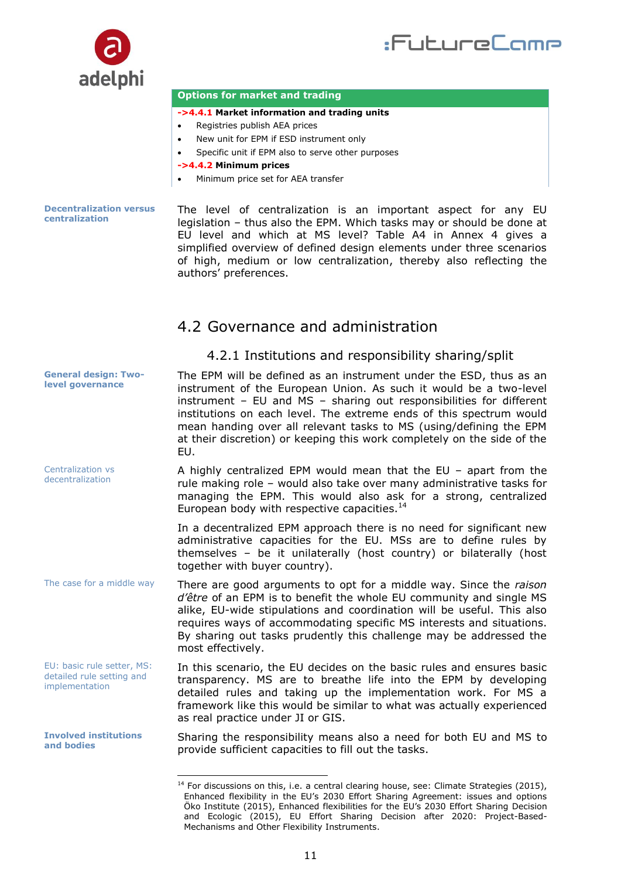



#### **Options for market and trading**

#### **->4.4.1 Market information and trading units**

- Registries publish AEA prices
	- New unit for EPM if ESD instrument only
- Specific unit if EPM also to serve other purposes
- **->4.4.2 Minimum prices**
- Minimum price set for AEA transfer

**Decentralization versus centralization**

The level of centralization is an important aspect for any EU legislation – thus also the EPM. Which tasks may or should be done at EU level and which at MS level? Table A4 in Annex 4 gives a simplified overview of defined design elements under three scenarios of high, medium or low centralization, thereby also reflecting the authors' preferences.

## <span id="page-10-1"></span><span id="page-10-0"></span>4.2 Governance and administration

4.2.1 Institutions and responsibility sharing/split

The EPM will be defined as an instrument under the ESD, thus as an instrument of the European Union. As such it would be a two-level instrument – EU and MS – sharing out responsibilities for different institutions on each level. The extreme ends of this spectrum would mean handing over all relevant tasks to MS (using/defining the EPM at their discretion) or keeping this work completely on the side of the EU. A highly centralized EPM would mean that the EU – apart from the rule making role – would also take over many administrative tasks for managing the EPM. This would also ask for a strong, centralized European body with respective capacities.<sup>14</sup> In a decentralized EPM approach there is no need for significant new administrative capacities for the EU. MSs are to define rules by themselves – be it unilaterally (host country) or bilaterally (host together with buyer country). There are good arguments to opt for a middle way. Since the *raison d'être* of an EPM is to benefit the whole EU community and single MS alike, EU-wide stipulations and coordination will be useful. This also requires ways of accommodating specific MS interests and situations. By sharing out tasks prudently this challenge may be addressed the most effectively. In this scenario, the EU decides on the basic rules and ensures basic transparency. MS are to breathe life into the EPM by developing detailed rules and taking up the implementation work. For MS a framework like this would be similar to what was actually experienced as real practice under JI or GIS. Sharing the responsibility means also a need for both EU and MS to **General design: Twolevel governance** Centralization vs decentralization The case for a middle way EU: basic rule setter, MS: detailed rule setting and implementation **Involved institutions and bodies**

provide sufficient capacities to fill out the tasks.

<sup>-</sup> $14$  For discussions on this, i.e. a central clearing house, see: Climate Strategies (2015), Enhanced flexibility in the EU's 2030 Effort Sharing Agreement: issues and options Öko Institute (2015), Enhanced flexibilities for the EU's 2030 Effort Sharing Decision and Ecologic (2015), EU Effort Sharing Decision after 2020: Project-Based-Mechanisms and Other Flexibility Instruments.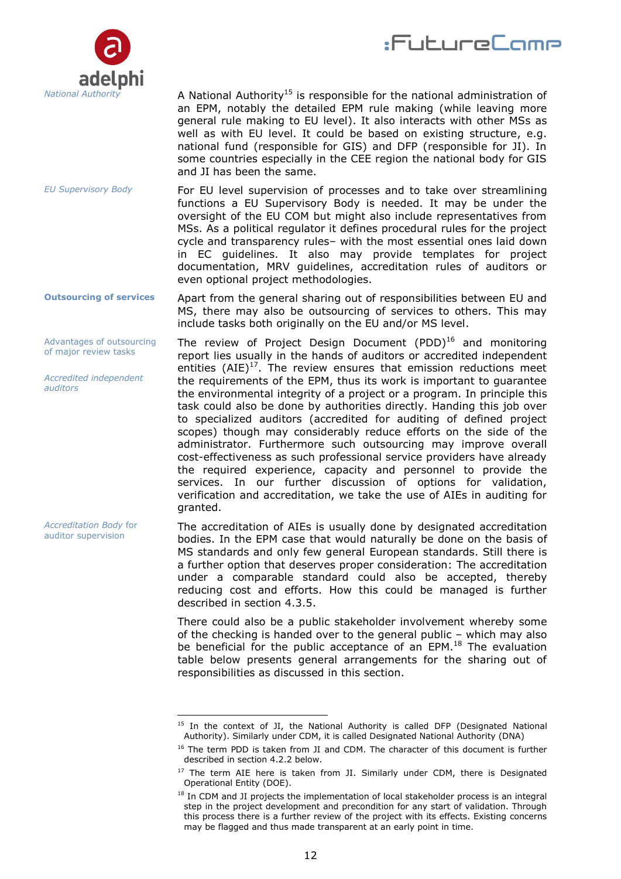



A National Authority<sup>15</sup> is responsible for the national administration of an EPM, notably the detailed EPM rule making (while leaving more general rule making to EU level). It also interacts with other MSs as well as with EU level. It could be based on existing structure, e.g. national fund (responsible for GIS) and DFP (responsible for JI). In some countries especially in the CEE region the national body for GIS and JI has been the same.

For EU level supervision of processes and to take over streamlining functions a EU Supervisory Body is needed. It may be under the oversight of the EU COM but might also include representatives from MSs. As a political regulator it defines procedural rules for the project cycle and transparency rules– with the most essential ones laid down in EC guidelines. It also may provide templates for project documentation, MRV guidelines, accreditation rules of auditors or even optional project methodologies. *EU Supervisory Body*

> Apart from the general sharing out of responsibilities between EU and MS, there may also be outsourcing of services to others. This may include tasks both originally on the EU and/or MS level.

The review of Project Design Document (PDD)<sup>16</sup> and monitoring report lies usually in the hands of auditors or accredited independent entities  $(AIE)^{17}$ . The review ensures that emission reductions meet the requirements of the EPM, thus its work is important to guarantee the environmental integrity of a project or a program. In principle this task could also be done by authorities directly. Handing this job over to specialized auditors (accredited for auditing of defined project scopes) though may considerably reduce efforts on the side of the administrator. Furthermore such outsourcing may improve overall cost-effectiveness as such professional service providers have already the required experience, capacity and personnel to provide the services. In our further discussion of options for validation, verification and accreditation, we take the use of AIEs in auditing for granted.

The accreditation of AIEs is usually done by designated accreditation bodies. In the EPM case that would naturally be done on the basis of MS standards and only few general European standards. Still there is a further option that deserves proper consideration: The accreditation under a comparable standard could also be accepted, thereby reducing cost and efforts. How this could be managed is further described in section 4.3.5.

There could also be a public stakeholder involvement whereby some of the checking is handed over to the general public – which may also be beneficial for the public acceptance of an EPM.<sup>18</sup> The evaluation table below presents general arrangements for the sharing out of responsibilities as discussed in this section.

**Outsourcing of services**

Advantages of outsourcing of major review tasks

*Accredited independent auditors*

*Accreditation Body* for auditor supervision

-

<sup>&</sup>lt;sup>15</sup> In the context of JI, the National Authority is called DFP (Designated National Authority). Similarly under CDM, it is called Designated National Authority (DNA)

<sup>&</sup>lt;sup>16</sup> The term PDD is taken from JI and CDM. The character of this document is further described in section 4.2.2 below.

<sup>&</sup>lt;sup>17</sup> The term AIE here is taken from JI. Similarly under CDM, there is Designated Operational Entity (DOE).

 $18$  In CDM and JI projects the implementation of local stakeholder process is an integral step in the project development and precondition for any start of validation. Through this process there is a further review of the project with its effects. Existing concerns may be flagged and thus made transparent at an early point in time.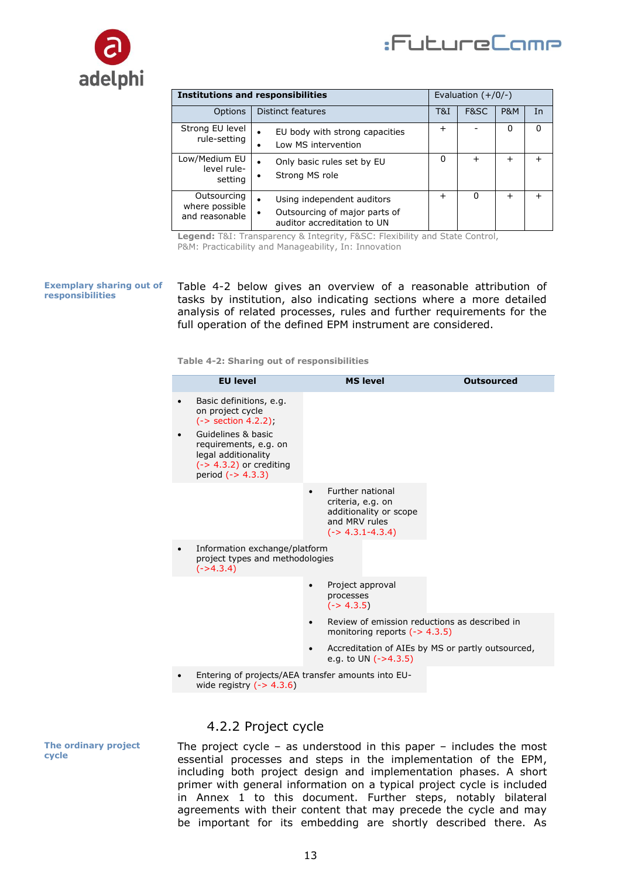



| <b>Institutions and responsibilities</b>        |                                                                                            |           | Evaluation $(+/0/-)$ |                |          |  |
|-------------------------------------------------|--------------------------------------------------------------------------------------------|-----------|----------------------|----------------|----------|--|
| Options                                         | Distinct features                                                                          | T&I       | <b>F&amp;SC</b>      | <b>P&amp;M</b> | In       |  |
| Strong EU level<br>rule-setting                 | EU body with strong capacities<br>$\bullet$<br>Low MS intervention                         | $\ddot{}$ |                      | 0              | $\Omega$ |  |
| Low/Medium EU<br>level rule-<br>setting         | Only basic rules set by EU<br>Strong MS role                                               | 0         | $\ddot{}$            | $\div$         |          |  |
| Outsourcing<br>where possible<br>and reasonable | Using independent auditors<br>Outsourcing of major parts of<br>auditor accreditation to UN | $\div$    | 0                    | $\div$         |          |  |

**Legend:** T&I: Transparency & Integrity, F&SC: Flexibility and State Control, P&M: Practicability and Manageability, In: Innovation

#### **Exemplary sharing out of responsibilities**

Table 4-2 below gives an overview of a reasonable attribution of tasks by institution, also indicating sections where a more detailed analysis of related processes, rules and further requirements for the full operation of the defined EPM instrument are considered.

**Table 4-2: Sharing out of responsibilities**

| <b>EU level</b>                                                                                                                                                                               | <b>MS level</b>                                                                                          | <b>Outsourced</b>                                 |
|-----------------------------------------------------------------------------------------------------------------------------------------------------------------------------------------------|----------------------------------------------------------------------------------------------------------|---------------------------------------------------|
| Basic definitions, e.g.<br>on project cycle<br>$(-5)$ section 4.2.2);<br>Guidelines & basic<br>requirements, e.g. on<br>legal additionality<br>$(-> 4.3.2)$ or crediting<br>period (-> 4.3.3) |                                                                                                          |                                                   |
|                                                                                                                                                                                               | Further national<br>criteria, e.g. on<br>additionality or scope<br>and MRV rules<br>$(-> 4.3.1 - 4.3.4)$ |                                                   |
| Information exchange/platform<br>project types and methodologies<br>$(->4.3.4)$                                                                                                               |                                                                                                          |                                                   |
|                                                                                                                                                                                               | Project approval<br>processes<br>$(-> 4.3.5)$                                                            |                                                   |
|                                                                                                                                                                                               | Review of emission reductions as described in<br>monitoring reports $(->4.3.5)$                          |                                                   |
|                                                                                                                                                                                               | e.g. to UN $(->4.3.5)$                                                                                   | Accreditation of AIEs by MS or partly outsourced, |
| wide registry $(-> 4.3.6)$                                                                                                                                                                    | Entering of projects/AEA transfer amounts into EU-                                                       |                                                   |

### 4.2.2 Project cycle

**The ordinary project cycle**

<span id="page-12-0"></span>The project cycle – as understood in this paper – includes the most essential processes and steps in the implementation of the EPM, including both project design and implementation phases. A short primer with general information on a typical project cycle is included in Annex 1 to this document. Further steps, notably bilateral agreements with their content that may precede the cycle and may be important for its embedding are shortly described there. As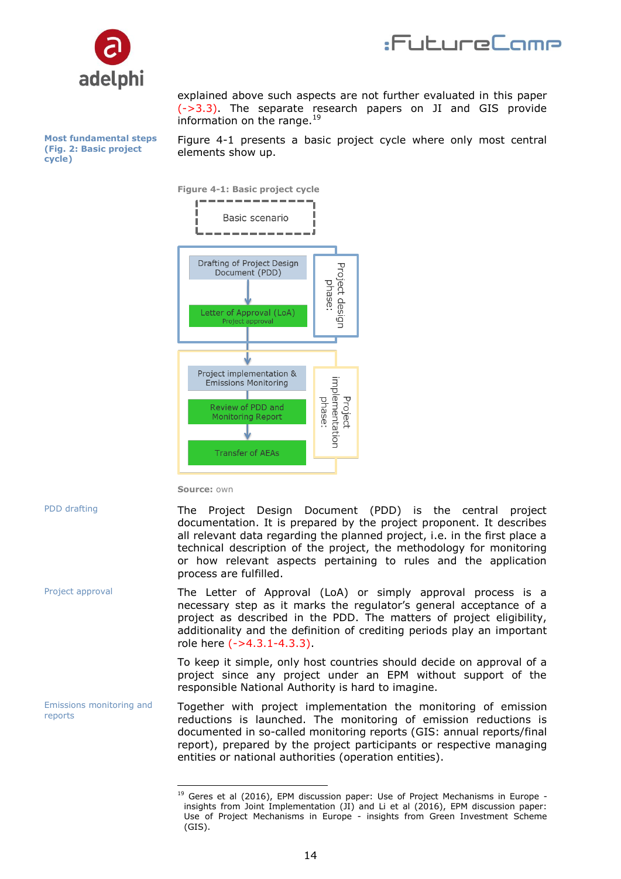



explained above such aspects are not further evaluated in this paper (->3.3). The separate research papers on JI and GIS provide information on the range.<sup>19</sup>

Figure 4-1 presents a basic project cycle where only most central elements show up.



**Source:** own

PDD drafting

Project approval

The Project Design Document (PDD) is the central project documentation. It is prepared by the project proponent. It describes all relevant data regarding the planned project, i.e. in the first place a technical description of the project, the methodology for monitoring or how relevant aspects pertaining to rules and the application process are fulfilled.

The Letter of Approval (LoA) or simply approval process is a necessary step as it marks the regulator's general acceptance of a project as described in the PDD. The matters of project eligibility, additionality and the definition of crediting periods play an important role here (->4.3.1-4.3.3).

To keep it simple, only host countries should decide on approval of a project since any project under an EPM without support of the responsible National Authority is hard to imagine.

Together with project implementation the monitoring of emission reductions is launched. The monitoring of emission reductions is documented in so-called monitoring reports (GIS: annual reports/final report), prepared by the project participants or respective managing entities or national authorities (operation entities). Emissions monitoring and reports

<sup>-</sup><sup>19</sup> Geres et al (2016), EPM discussion paper: Use of Project Mechanisms in Europe insights from Joint Implementation (JI) and Li et al (2016), EPM discussion paper: Use of Project Mechanisms in Europe - insights from Green Investment Scheme (GIS).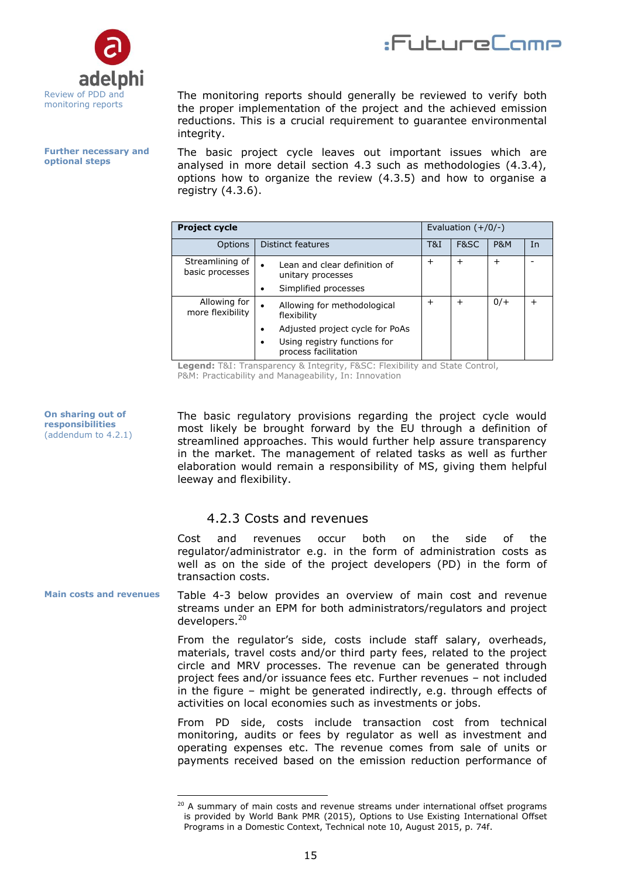



#### **Further necessary and optional steps**

The monitoring reports should generally be reviewed to verify both the proper implementation of the project and the achieved emission reductions. This is a crucial requirement to guarantee environmental integrity.

The basic project cycle leaves out important issues which are analysed in more detail section 4.3 such as methodologies (4.3.4), options how to organize the review (4.3.5) and how to organise a registry (4.3.6).

| <b>Project cycle</b>               |                                                                                                                                       | Evaluation $(+/0/-)$ |                 |                |    |
|------------------------------------|---------------------------------------------------------------------------------------------------------------------------------------|----------------------|-----------------|----------------|----|
| <b>Options</b>                     | <b>Distinct features</b>                                                                                                              | T&I                  | <b>F&amp;SC</b> | <b>P&amp;M</b> | In |
| Streamlining of<br>basic processes | Lean and clear definition of<br>unitary processes<br>Simplified processes                                                             | $\ddot{}$            | $\div$          | $\div$         |    |
| Allowing for<br>more flexibility   | Allowing for methodological<br>flexibility<br>Adjusted project cycle for PoAs<br>Using registry functions for<br>process facilitation | $\ddot{}$            | $+$             | $0/+$          |    |

**Legend:** T&I: Transparency & Integrity, F&SC: Flexibility and State Control, P&M: Practicability and Manageability, In: Innovation

**On sharing out of responsibilities**  (addendum to 4.2.1) The basic regulatory provisions regarding the project cycle would most likely be brought forward by the EU through a definition of streamlined approaches. This would further help assure transparency in the market. The management of related tasks as well as further elaboration would remain a responsibility of MS, giving them helpful leeway and flexibility.

### 4.2.3 Costs and revenues

<span id="page-14-0"></span>Cost and revenues occur both on the side of the regulator/administrator e.g. in the form of administration costs as well as on the side of the project developers (PD) in the form of transaction costs.

Table 4-3 below provides an overview of main cost and revenue streams under an EPM for both administrators/regulators and project developers.<sup>20</sup> **Main costs and revenues**

> From the regulator's side, costs include staff salary, overheads, materials, travel costs and/or third party fees, related to the project circle and MRV processes. The revenue can be generated through project fees and/or issuance fees etc. Further revenues – not included in the figure – might be generated indirectly, e.g. through effects of activities on local economies such as investments or jobs.

> From PD side, costs include transaction cost from technical monitoring, audits or fees by regulator as well as investment and operating expenses etc. The revenue comes from sale of units or payments received based on the emission reduction performance of

-

 $20$  A summary of main costs and revenue streams under international offset programs is provided by World Bank PMR (2015), Options to Use Existing International Offset Programs in a Domestic Context, Technical note 10, August 2015, p. 74f.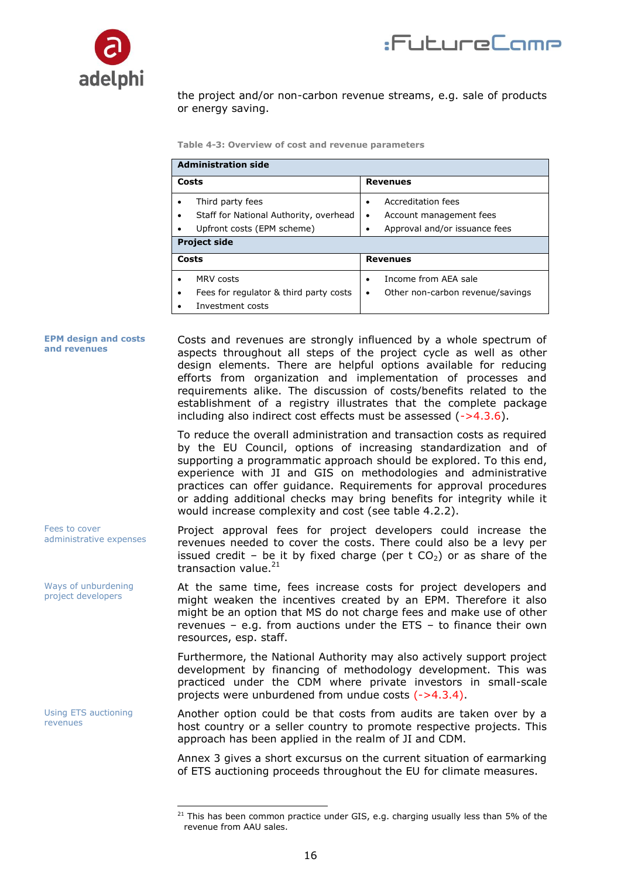

the project and/or non-carbon revenue streams, e.g. sale of products or energy saving.

**Table 4-3: Overview of cost and revenue parameters**

| <b>Administration side</b>                                                                                      |                                                                                     |  |  |  |  |  |  |
|-----------------------------------------------------------------------------------------------------------------|-------------------------------------------------------------------------------------|--|--|--|--|--|--|
| Costs                                                                                                           | <b>Revenues</b>                                                                     |  |  |  |  |  |  |
| Third party fees<br>Staff for National Authority, overhead<br>Upfront costs (EPM scheme)<br><b>Project side</b> | Accreditation fees<br>Account management fees<br>٠<br>Approval and/or issuance fees |  |  |  |  |  |  |
| Costs                                                                                                           | <b>Revenues</b>                                                                     |  |  |  |  |  |  |
| MRV costs<br>Fees for regulator & third party costs<br>٠<br>Investment costs                                    | Income from AEA sale<br>Other non-carbon revenue/savings<br>٠                       |  |  |  |  |  |  |

Costs and revenues are strongly influenced by a whole spectrum of aspects throughout all steps of the project cycle as well as other design elements. There are helpful options available for reducing efforts from organization and implementation of processes and requirements alike. The discussion of costs/benefits related to the establishment of a registry illustrates that the complete package including also indirect cost effects must be assessed  $(-\geq 4.3.6)$ . **EPM design and costs and revenues**

> To reduce the overall administration and transaction costs as required by the EU Council, options of increasing standardization and of supporting a programmatic approach should be explored. To this end, experience with JI and GIS on methodologies and administrative practices can offer guidance. Requirements for approval procedures or adding additional checks may bring benefits for integrity while it would increase complexity and cost (see table 4.2.2).

> Project approval fees for project developers could increase the revenues needed to cover the costs. There could also be a levy per issued credit – be it by fixed charge (per t  $CO<sub>2</sub>$ ) or as share of the transaction value.<sup>21</sup>

> At the same time, fees increase costs for project developers and might weaken the incentives created by an EPM. Therefore it also might be an option that MS do not charge fees and make use of other revenues – e.g. from auctions under the ETS – to finance their own resources, esp. staff.

> Furthermore, the National Authority may also actively support project development by financing of methodology development. This was practiced under the CDM where private investors in small-scale projects were unburdened from undue costs (->4.3.4).

> Another option could be that costs from audits are taken over by a host country or a seller country to promote respective projects. This approach has been applied in the realm of JI and CDM.

> Annex 3 gives a short excursus on the current situation of earmarking of ETS auctioning proceeds throughout the EU for climate measures.

administrative expenses

Fees to cover

Ways of unburdening project developers

Using ETS auctioning revenues

-

 $21$  This has been common practice under GIS, e.g. charging usually less than 5% of the revenue from AAU sales.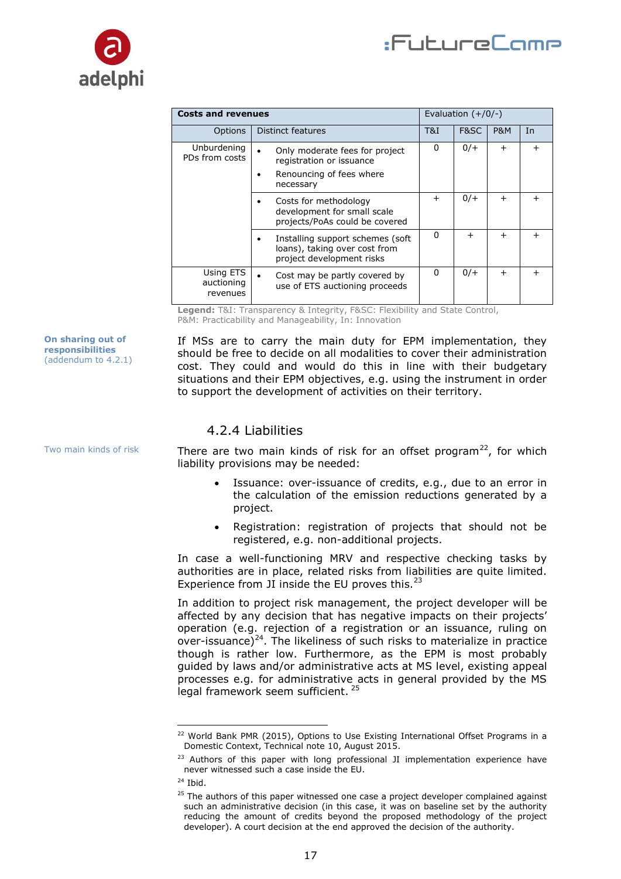



|                                     | <b>Costs and revenues</b>                                                                      |                |        | Evaluation $(+/0/-)$ |           |  |  |
|-------------------------------------|------------------------------------------------------------------------------------------------|----------------|--------|----------------------|-----------|--|--|
| Options                             | Distinct features                                                                              | <b>T&amp;I</b> | F&SC   | <b>P&amp;M</b>       | In        |  |  |
| Unburdening<br>PDs from costs       | Only moderate fees for project<br>registration or issuance<br>Renouncing of fees where         | $\Omega$       | $0/+$  | $\div$               | $\div$    |  |  |
|                                     | necessary                                                                                      |                |        |                      |           |  |  |
|                                     | Costs for methodology<br>development for small scale<br>projects/PoAs could be covered         | $\pm$          | $0/+$  | +                    |           |  |  |
|                                     | Installing support schemes (soft<br>loans), taking over cost from<br>project development risks | 0              | $\div$ | $\ddot{}$            | $\div$    |  |  |
| Using ETS<br>auctioning<br>revenues | Cost may be partly covered by<br>use of ETS auctioning proceeds                                | 0              | $0/+$  | $+$                  | $\ddot{}$ |  |  |

**Legend:** T&I: Transparency & Integrity, F&SC: Flexibility and State Control, P&M: Practicability and Manageability, In: Innovation

If MSs are to carry the main duty for EPM implementation, they should be free to decide on all modalities to cover their administration cost. They could and would do this in line with their budgetary situations and their EPM objectives, e.g. using the instrument in order to support the development of activities on their territory.

### 4.2.4 Liabilities

<span id="page-16-0"></span>There are two main kinds of risk for an offset program<sup>22</sup>, for which liability provisions may be needed:

- Issuance: over-issuance of credits, e.g., due to an error in the calculation of the emission reductions generated by a project.
- Registration: registration of projects that should not be registered, e.g. non-additional projects.

In case a well-functioning MRV and respective checking tasks by authorities are in place, related risks from liabilities are quite limited. Experience from JI inside the EU proves this. $2^3$ 

In addition to project risk management, the project developer will be affected by any decision that has negative impacts on their projects' operation (e.g. rejection of a registration or an issuance, ruling on over-issuance) $^{24}$ . The likeliness of such risks to materialize in practice though is rather low. Furthermore, as the EPM is most probably guided by laws and/or administrative acts at MS level, existing appeal processes e.g. for administrative acts in general provided by the MS legal framework seem sufficient.<sup>25</sup>

 $24$  Ibid.

-

**On sharing out of responsibilities**  (addendum to 4.2.1)

Two main kinds of risk

<sup>&</sup>lt;sup>22</sup> World Bank PMR (2015), Options to Use Existing International Offset Programs in a Domestic Context, Technical note 10, August 2015.

 $23$  Authors of this paper with long professional JI implementation experience have never witnessed such a case inside the EU.

 $25$  The authors of this paper witnessed one case a project developer complained against such an administrative decision (in this case, it was on baseline set by the authority reducing the amount of credits beyond the proposed methodology of the project developer). A court decision at the end approved the decision of the authority.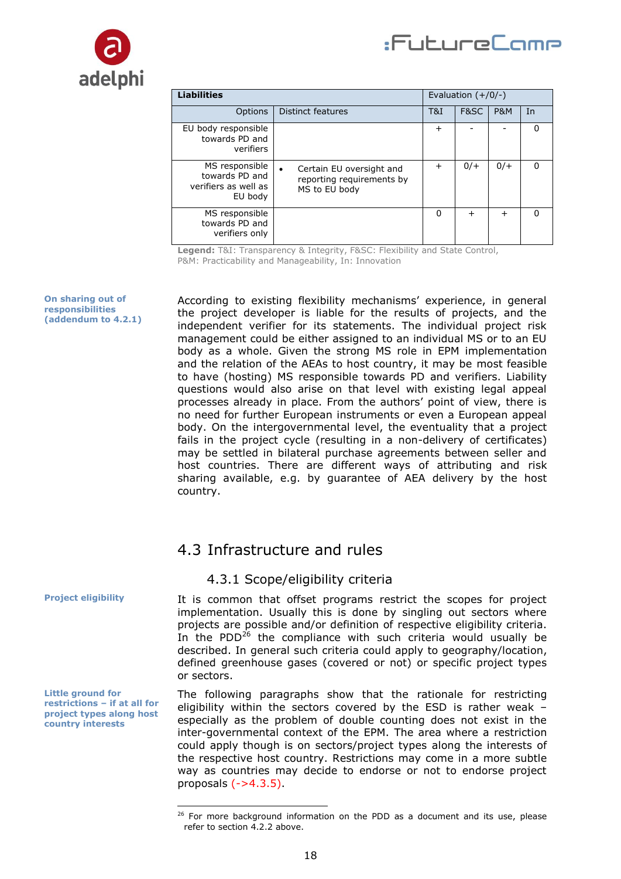



| <b>Liabilities</b>                                                  |                                                                                     |          | Evaluation $(+/0/-)$ |                |              |  |
|---------------------------------------------------------------------|-------------------------------------------------------------------------------------|----------|----------------------|----------------|--------------|--|
| <b>Options</b>                                                      | <b>Distinct features</b>                                                            | T&I      | F&SC                 | <b>P&amp;M</b> | In           |  |
| EU body responsible<br>towards PD and<br>verifiers                  |                                                                                     | $\,{}^+$ |                      |                | 0            |  |
| MS responsible<br>towards PD and<br>verifiers as well as<br>EU body | Certain EU oversight and<br>$\bullet$<br>reporting requirements by<br>MS to EU body | $^{+}$   | $0/+$                | $0/+$          | <sup>0</sup> |  |
| MS responsible<br>towards PD and<br>verifiers only                  |                                                                                     | 0        | $\div$               | $\ddot{}$      | U            |  |

**Legend:** T&I: Transparency & Integrity, F&SC: Flexibility and State Control, P&M: Practicability and Manageability, In: Innovation

**On sharing out of responsibilities (addendum to 4.2.1)** According to existing flexibility mechanisms' experience, in general the project developer is liable for the results of projects, and the independent verifier for its statements. The individual project risk management could be either assigned to an individual MS or to an EU body as a whole. Given the strong MS role in EPM implementation and the relation of the AEAs to host country, it may be most feasible to have (hosting) MS responsible towards PD and verifiers. Liability questions would also arise on that level with existing legal appeal processes already in place. From the authors' point of view, there is no need for further European instruments or even a European appeal body. On the intergovernmental level, the eventuality that a project fails in the project cycle (resulting in a non-delivery of certificates) may be settled in bilateral purchase agreements between seller and host countries. There are different ways of attributing and risk sharing available, e.g. by guarantee of AEA delivery by the host country.

## <span id="page-17-0"></span>4.3 Infrastructure and rules

## 4.3.1 Scope/eligibility criteria

<span id="page-17-1"></span>It is common that offset programs restrict the scopes for project implementation. Usually this is done by singling out sectors where projects are possible and/or definition of respective eligibility criteria. In the PDD $^{26}$  the compliance with such criteria would usually be described. In general such criteria could apply to geography/location, defined greenhouse gases (covered or not) or specific project types or sectors.

The following paragraphs show that the rationale for restricting eligibility within the sectors covered by the ESD is rather weak – especially as the problem of double counting does not exist in the inter-governmental context of the EPM. The area where a restriction could apply though is on sectors/project types along the interests of the respective host country. Restrictions may come in a more subtle way as countries may decide to endorse or not to endorse project proposals  $(->4.3.5)$ .

**Project eligibility**

**Little ground for restrictions – if at all for project types along host country interests**

<sup>-</sup> $26$  For more background information on the PDD as a document and its use, please refer to section 4.2.2 above.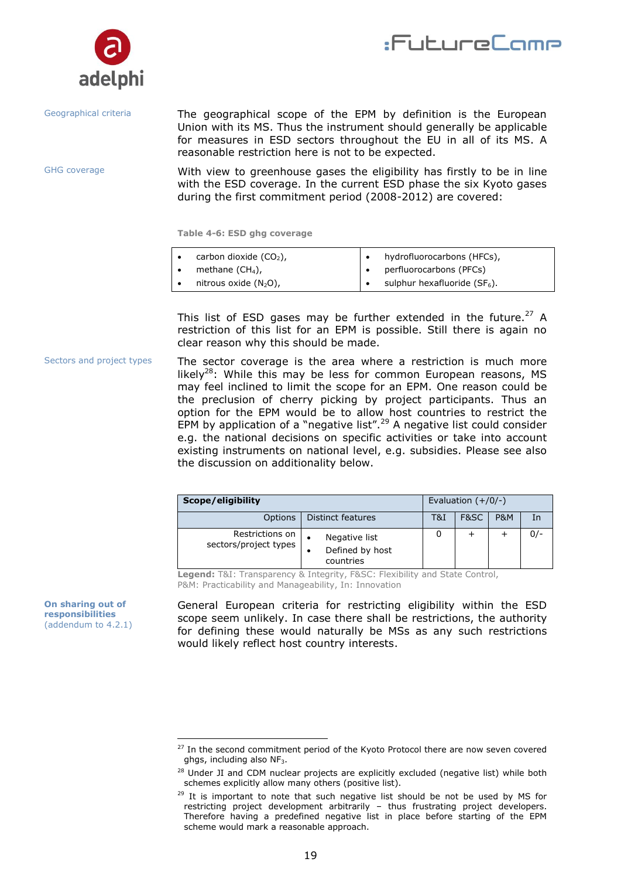



The geographical scope of the EPM by definition is the European Union with its MS. Thus the instrument should generally be applicable for measures in ESD sectors throughout the EU in all of its MS. A reasonable restriction here is not to be expected. Geographical criteria

With view to greenhouse gases the eligibility has firstly to be in line with the ESD coverage. In the current ESD phase the six Kyoto gases during the first commitment period (2008-2012) are covered: GHG coverage

**Table 4-6: ESD ghg coverage**

| carbon dioxide $(CO2)$ , | hydrofluorocarbons (HFCs),      |
|--------------------------|---------------------------------|
| methane $(CH4)$ ,        | perfluorocarbons (PFCs)         |
| nitrous oxide $(N_2O)$ , | sulphur hexafluoride $(SF_6)$ . |

This list of ESD gases may be further extended in the future.<sup>27</sup> A restriction of this list for an EPM is possible. Still there is again no clear reason why this should be made.

The sector coverage is the area where a restriction is much more likely<sup>28</sup>: While this may be less for common European reasons, MS may feel inclined to limit the scope for an EPM. One reason could be the preclusion of cherry picking by project participants. Thus an option for the EPM would be to allow host countries to restrict the EPM by application of a "negative list".<sup>29</sup> A negative list could consider e.g. the national decisions on specific activities or take into account existing instruments on national level, e.g. subsidies. Please see also the discussion on additionality below. Sectors and project types

| Scope/eligibility                        |                                                            |     | Evaluation $(+/0/-)$ |     |       |  |
|------------------------------------------|------------------------------------------------------------|-----|----------------------|-----|-------|--|
| Options                                  | <b>Distinct features</b>                                   | T&I | F&SC                 | P&M | In    |  |
| Restrictions on<br>sectors/project types | Negative list<br>Defined by host<br>$\bullet$<br>countries | 0   |                      |     | $0/-$ |  |

**Legend:** T&I: Transparency & Integrity, F&SC: Flexibility and State Control, P&M: Practicability and Manageability, In: Innovation

General European criteria for restricting eligibility within the ESD scope seem unlikely. In case there shall be restrictions, the authority for defining these would naturally be MSs as any such restrictions would likely reflect host country interests.

**On sharing out of responsibilities**  (addendum to 4.2.1)

<sup>-</sup><sup>27</sup> In the second commitment period of the Kyoto Protocol there are now seven covered ghgs, including also NF3.

<sup>&</sup>lt;sup>28</sup> Under JI and CDM nuclear projects are explicitly excluded (negative list) while both schemes explicitly allow many others (positive list).

<sup>&</sup>lt;sup>29</sup> It is important to note that such negative list should be not be used by MS for restricting project development arbitrarily – thus frustrating project developers. Therefore having a predefined negative list in place before starting of the EPM scheme would mark a reasonable approach.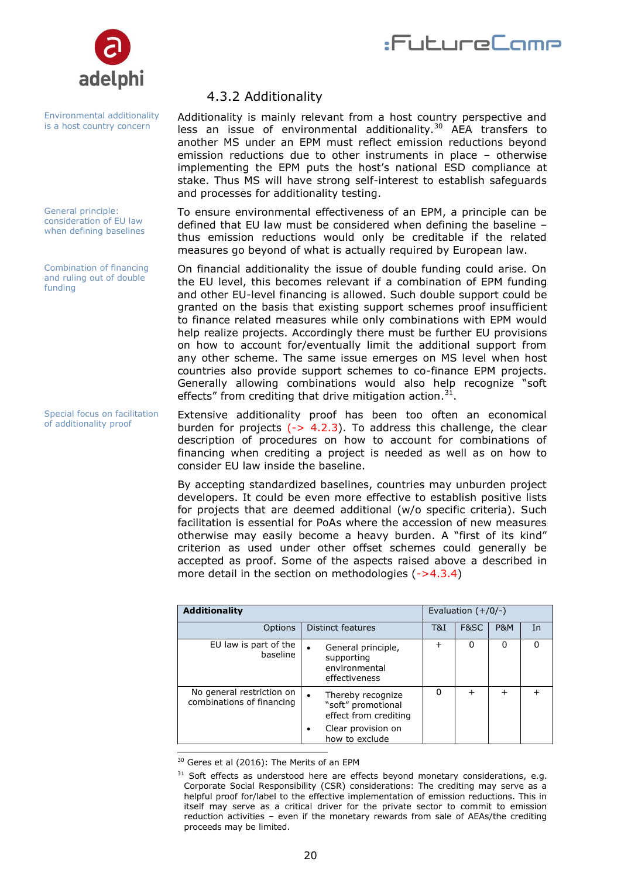



Environmental additionality is a host country concern

General principle: consideration of EU law when defining baselines

Combination of financing and ruling out of double funding

Special focus on facilitation of additionality proof

## 4.3.2 Additionality

<span id="page-19-0"></span>Additionality is mainly relevant from a host country perspective and less an issue of environmental additionality. $30$  AEA transfers to another MS under an EPM must reflect emission reductions beyond emission reductions due to other instruments in place – otherwise implementing the EPM puts the host's national ESD compliance at stake. Thus MS will have strong self-interest to establish safeguards and processes for additionality testing.

To ensure environmental effectiveness of an EPM, a principle can be defined that EU law must be considered when defining the baseline – thus emission reductions would only be creditable if the related measures go beyond of what is actually required by European law.

On financial additionality the issue of double funding could arise. On the EU level, this becomes relevant if a combination of EPM funding and other EU-level financing is allowed. Such double support could be granted on the basis that existing support schemes proof insufficient to finance related measures while only combinations with EPM would help realize projects. Accordingly there must be further EU provisions on how to account for/eventually limit the additional support from any other scheme. The same issue emerges on MS level when host countries also provide support schemes to co-finance EPM projects. Generally allowing combinations would also help recognize "soft effects" from crediting that drive mitigation action.<sup>31</sup>.

Extensive additionality proof has been too often an economical burden for projects  $(-)$  4.2.3). To address this challenge, the clear description of procedures on how to account for combinations of financing when crediting a project is needed as well as on how to consider EU law inside the baseline.

By accepting standardized baselines, countries may unburden project developers. It could be even more effective to establish positive lists for projects that are deemed additional (w/o specific criteria). Such facilitation is essential for PoAs where the accession of new measures otherwise may easily become a heavy burden. A "first of its kind" criterion as used under other offset schemes could generally be accepted as proof. Some of the aspects raised above a described in more detail in the section on methodologies  $(->4.3.4)$ 

| <b>Additionality</b>                                   |                                                                                                          | Evaluation $(+/0/-)$ |        |                |          |
|--------------------------------------------------------|----------------------------------------------------------------------------------------------------------|----------------------|--------|----------------|----------|
| <b>Options</b>                                         | <b>Distinct features</b>                                                                                 | T&I                  | F&SC   | <b>P&amp;M</b> | In       |
| EU law is part of the<br>baseline                      | General principle,<br>$\bullet$<br>supporting<br>environmental<br>effectiveness                          | $\pm$                | O      | 0              | $\Omega$ |
| No general restriction on<br>combinations of financing | Thereby recognize<br>"soft" promotional<br>effect from crediting<br>Clear provision on<br>how to exclude | 0                    | $\div$ | $\ddot{}$      |          |

-<sup>30</sup> Geres et al (2016): The Merits of an EPM

 $31$  Soft effects as understood here are effects beyond monetary considerations, e.g. Corporate Social Responsibility (CSR) considerations: The crediting may serve as a helpful proof for/label to the effective implementation of emission reductions. This in itself may serve as a critical driver for the private sector to commit to emission reduction activities – even if the monetary rewards from sale of AEAs/the crediting proceeds may be limited.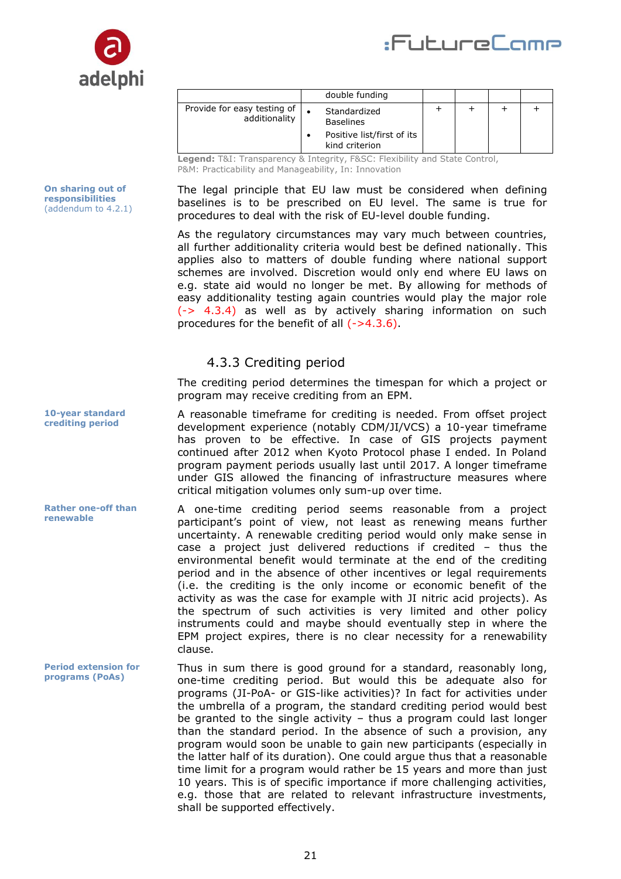



|                                              | double funding                                                                   |  |  |
|----------------------------------------------|----------------------------------------------------------------------------------|--|--|
| Provide for easy testing of<br>additionality | Standardized<br><b>Baselines</b><br>Positive list/first of its<br>kind criterion |  |  |

**Legend:** T&I: Transparency & Integrity, F&SC: Flexibility and State Control, P&M: Practicability and Manageability, In: Innovation

The legal principle that EU law must be considered when defining baselines is to be prescribed on EU level. The same is true for procedures to deal with the risk of EU-level double funding.

As the regulatory circumstances may vary much between countries, all further additionality criteria would best be defined nationally. This applies also to matters of double funding where national support schemes are involved. Discretion would only end where EU laws on e.g. state aid would no longer be met. By allowing for methods of easy additionality testing again countries would play the major role (-> 4.3.4) as well as by actively sharing information on such procedures for the benefit of all  $(->4.3.6)$ .

### 4.3.3 Crediting period

<span id="page-20-0"></span>The crediting period determines the timespan for which a project or program may receive crediting from an EPM.

A reasonable timeframe for crediting is needed. From offset project development experience (notably CDM/JI/VCS) a 10-year timeframe has proven to be effective. In case of GIS projects payment continued after 2012 when Kyoto Protocol phase I ended. In Poland program payment periods usually last until 2017. A longer timeframe under GIS allowed the financing of infrastructure measures where critical mitigation volumes only sum-up over time. **crediting period**

> A one-time crediting period seems reasonable from a project participant's point of view, not least as renewing means further uncertainty. A renewable crediting period would only make sense in case a project just delivered reductions if credited – thus the environmental benefit would terminate at the end of the crediting period and in the absence of other incentives or legal requirements (i.e. the crediting is the only income or economic benefit of the activity as was the case for example with JI nitric acid projects). As the spectrum of such activities is very limited and other policy instruments could and maybe should eventually step in where the EPM project expires, there is no clear necessity for a renewability clause.

Thus in sum there is good ground for a standard, reasonably long, one-time crediting period. But would this be adequate also for programs (JI-PoA- or GIS-like activities)? In fact for activities under the umbrella of a program, the standard crediting period would best be granted to the single activity – thus a program could last longer than the standard period. In the absence of such a provision, any program would soon be unable to gain new participants (especially in the latter half of its duration). One could argue thus that a reasonable time limit for a program would rather be 15 years and more than just 10 years. This is of specific importance if more challenging activities, e.g. those that are related to relevant infrastructure investments, shall be supported effectively.

**On sharing out of responsibilities**  (addendum to 4.2.1)

**10-year standard** 

**Rather one-off than renewable**

**Period extension for programs (PoAs)**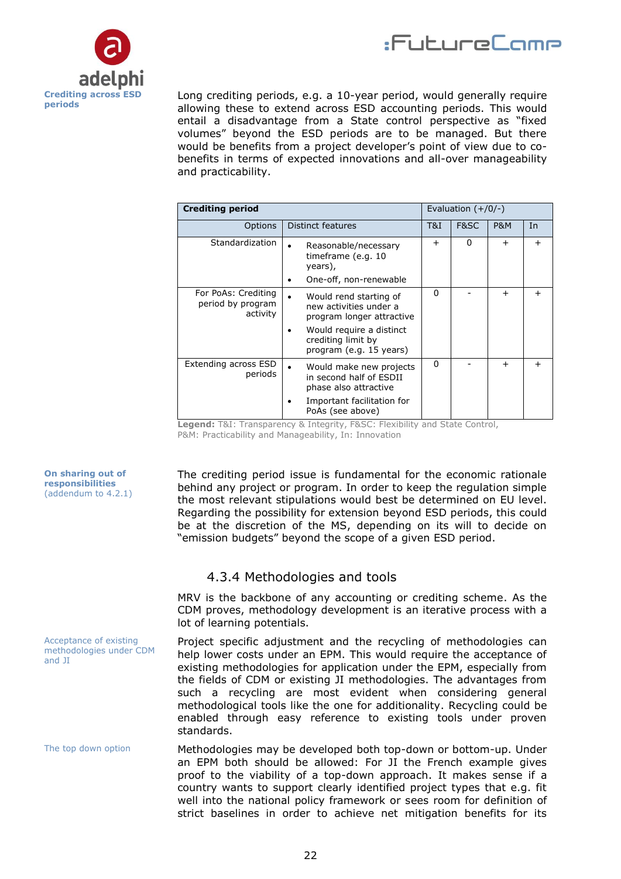



Long crediting periods, e.g. a 10-year period, would generally require allowing these to extend across ESD accounting periods. This would entail a disadvantage from a State control perspective as "fixed volumes" beyond the ESD periods are to be managed. But there would be benefits from a project developer's point of view due to cobenefits in terms of expected innovations and all-over manageability and practicability.

| <b>Crediting period</b>                              |                                                                                                                                 |           | Evaluation $(+/0/-)$ |                |           |
|------------------------------------------------------|---------------------------------------------------------------------------------------------------------------------------------|-----------|----------------------|----------------|-----------|
| <b>Options</b>                                       | Distinct features                                                                                                               | T&I       | F&SC                 | <b>P&amp;M</b> | In        |
| Standardization                                      | Reasonable/necessary<br>timeframe (e.g. 10<br>years),<br>One-off, non-renewable                                                 | $\ddot{}$ | 0                    | $\ddot{}$      | $\ddot{}$ |
| For PoAs: Crediting<br>period by program<br>activity | Would rend starting of<br>new activities under a<br>program longer attractive<br>Would require a distinct<br>crediting limit by | 0         |                      | $\div$         | $\ddot{}$ |
|                                                      | program (e.g. 15 years)                                                                                                         |           |                      |                |           |
| Extending across ESD<br>periods                      | Would make new projects<br>in second half of ESDII<br>phase also attractive                                                     | 0         |                      | $\ddot{}$      | $\div$    |
|                                                      | Important facilitation for<br>PoAs (see above)                                                                                  |           |                      |                |           |

**Legend:** T&I: Transparency & Integrity, F&SC: Flexibility and State Control, P&M: Practicability and Manageability, In: Innovation

The crediting period issue is fundamental for the economic rationale behind any project or program. In order to keep the regulation simple the most relevant stipulations would best be determined on EU level. Regarding the possibility for extension beyond ESD periods, this could be at the discretion of the MS, depending on its will to decide on "emission budgets" beyond the scope of a given ESD period.

### 4.3.4 Methodologies and tools

<span id="page-21-0"></span>MRV is the backbone of any accounting or crediting scheme. As the CDM proves, methodology development is an iterative process with a lot of learning potentials.

Project specific adjustment and the recycling of methodologies can help lower costs under an EPM. This would require the acceptance of existing methodologies for application under the EPM, especially from the fields of CDM or existing JI methodologies. The advantages from such a recycling are most evident when considering general methodological tools like the one for additionality. Recycling could be enabled through easy reference to existing tools under proven standards.

Methodologies may be developed both top-down or bottom-up. Under an EPM both should be allowed: For JI the French example gives proof to the viability of a top-down approach. It makes sense if a country wants to support clearly identified project types that e.g. fit well into the national policy framework or sees room for definition of strict baselines in order to achieve net mitigation benefits for its

**On sharing out of responsibilities**  (addendum to 4.2.1)

Acceptance of existing methodologies under CDM and JI

The top down option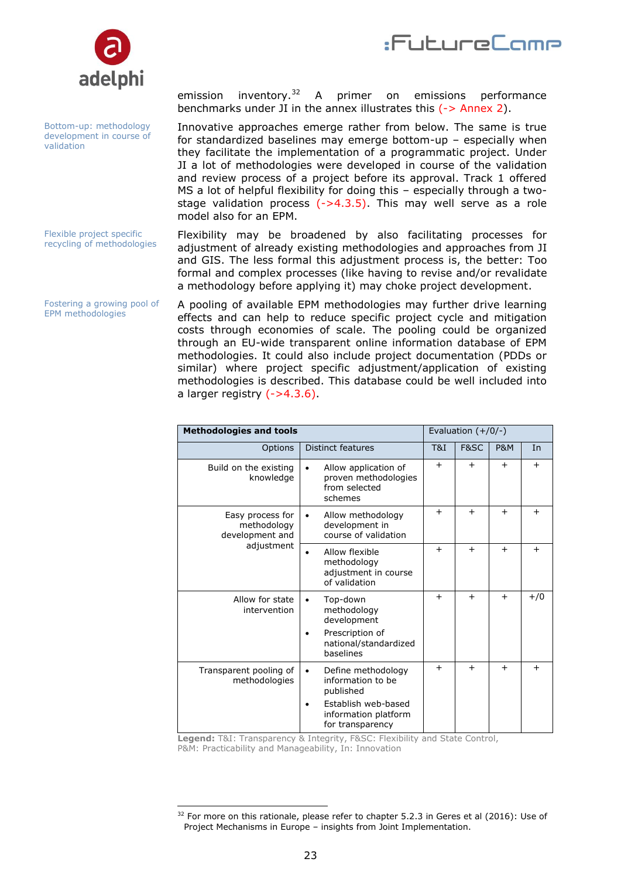



Bottom-up: methodology development in course of validation

Flexible project specific recycling of methodologies

Fostering a growing pool of EPM methodologies

emission inventory.<sup>32</sup> A primer on emissions performance benchmarks under JI in the annex illustrates this (-> Annex 2).

Innovative approaches emerge rather from below. The same is true for standardized baselines may emerge bottom-up – especially when they facilitate the implementation of a programmatic project. Under JI a lot of methodologies were developed in course of the validation and review process of a project before its approval. Track 1 offered MS a lot of helpful flexibility for doing this – especially through a twostage validation process  $(->4.3.5)$ . This may well serve as a role model also for an EPM.

Flexibility may be broadened by also facilitating processes for adjustment of already existing methodologies and approaches from JI and GIS. The less formal this adjustment process is, the better: Too formal and complex processes (like having to revise and/or revalidate a methodology before applying it) may choke project development.

A pooling of available EPM methodologies may further drive learning effects and can help to reduce specific project cycle and mitigation costs through economies of scale. The pooling could be organized through an EU-wide transparent online information database of EPM methodologies. It could also include project documentation (PDDs or similar) where project specific adjustment/application of existing methodologies is described. This database could be well included into a larger registry  $(->4.3.6)$ .

| <b>Methodologies and tools</b>                                   |                                                                                                                                      |                | Evaluation $(+/0/-)$ |     |       |
|------------------------------------------------------------------|--------------------------------------------------------------------------------------------------------------------------------------|----------------|----------------------|-----|-------|
| Options                                                          | <b>Distinct features</b>                                                                                                             | <b>T&amp;I</b> | F&SC                 | P&M | In    |
| Build on the existing<br>knowledge                               | Allow application of<br>٠<br>proven methodologies<br>from selected<br>schemes                                                        | $+$            | $+$                  | $+$ | $+$   |
| Easy process for<br>methodology<br>development and<br>adjustment | Allow methodology<br>٠<br>development in<br>course of validation                                                                     | $+$            | $+$                  | $+$ | $+$   |
|                                                                  | Allow flexible<br>methodology<br>adjustment in course<br>of validation                                                               | $+$            | $+$                  | $+$ | $+$   |
| Allow for state<br>intervention                                  | Top-down<br>٠<br>methodology<br>development<br>Prescription of<br>national/standardized<br>baselines                                 | $+$            | $\ddot{}$            | $+$ | $+/0$ |
| Transparent pooling of<br>methodologies                          | Define methodology<br>$\bullet$<br>information to be<br>published<br>Establish web-based<br>information platform<br>for transparency | $+$            | $+$                  | $+$ | $+$   |

**Legend:** T&I: Transparency & Integrity, F&SC: Flexibility and State Control, P&M: Practicability and Manageability, In: Innovation

<sup>-</sup> $32$  For more on this rationale, please refer to chapter 5.2.3 in Geres et al (2016): Use of Project Mechanisms in Europe – insights from Joint Implementation.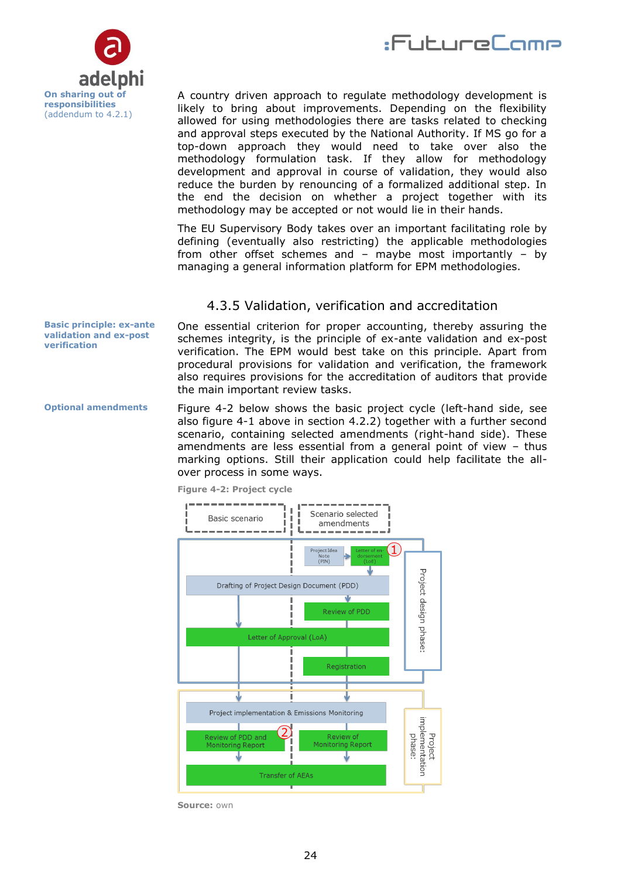



**Basic principle: ex-ante validation and ex-post** 

**verification**

A country driven approach to regulate methodology development is likely to bring about improvements. Depending on the flexibility allowed for using methodologies there are tasks related to checking and approval steps executed by the National Authority. If MS go for a top-down approach they would need to take over also the methodology formulation task. If they allow for methodology development and approval in course of validation, they would also reduce the burden by renouncing of a formalized additional step. In the end the decision on whether a project together with its methodology may be accepted or not would lie in their hands.

The EU Supervisory Body takes over an important facilitating role by defining (eventually also restricting) the applicable methodologies from other offset schemes and – maybe most importantly – by managing a general information platform for EPM methodologies.

### 4.3.5 Validation, verification and accreditation

<span id="page-23-0"></span>One essential criterion for proper accounting, thereby assuring the schemes integrity, is the principle of ex-ante validation and ex-post verification. The EPM would best take on this principle. Apart from procedural provisions for validation and verification, the framework also requires provisions for the accreditation of auditors that provide the main important review tasks.

Figure 4-2 below shows the basic project cycle (left-hand side, see also figure 4-1 above in section 4.2.2) together with a further second scenario, containing selected amendments (right-hand side). These amendments are less essential from a general point of view – thus marking options. Still their application could help facilitate the allover process in some ways. **Optional amendments**



**Figure 4-2: Project cycle**

**Source:** own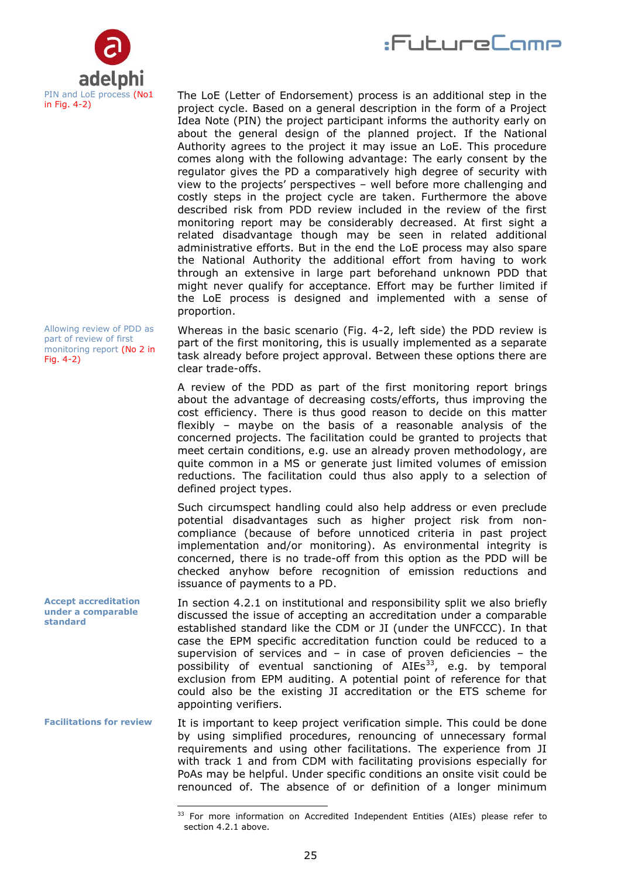



The LoE (Letter of Endorsement) process is an additional step in the project cycle. Based on a general description in the form of a Project Idea Note (PIN) the project participant informs the authority early on about the general design of the planned project. If the National Authority agrees to the project it may issue an LoE. This procedure comes along with the following advantage: The early consent by the regulator gives the PD a comparatively high degree of security with view to the projects' perspectives – well before more challenging and costly steps in the project cycle are taken. Furthermore the above described risk from PDD review included in the review of the first monitoring report may be considerably decreased. At first sight a related disadvantage though may be seen in related additional administrative efforts. But in the end the LoE process may also spare the National Authority the additional effort from having to work through an extensive in large part beforehand unknown PDD that might never qualify for acceptance. Effort may be further limited if the LoE process is designed and implemented with a sense of proportion.

Whereas in the basic scenario (Fig. 4-2, left side) the PDD review is part of the first monitoring, this is usually implemented as a separate task already before project approval. Between these options there are clear trade-offs.

A review of the PDD as part of the first monitoring report brings about the advantage of decreasing costs/efforts, thus improving the cost efficiency. There is thus good reason to decide on this matter flexibly – maybe on the basis of a reasonable analysis of the concerned projects. The facilitation could be granted to projects that meet certain conditions, e.g. use an already proven methodology, are quite common in a MS or generate just limited volumes of emission reductions. The facilitation could thus also apply to a selection of defined project types.

Such circumspect handling could also help address or even preclude potential disadvantages such as higher project risk from noncompliance (because of before unnoticed criteria in past project implementation and/or monitoring). As environmental integrity is concerned, there is no trade-off from this option as the PDD will be checked anyhow before recognition of emission reductions and issuance of payments to a PD.

In section 4.2.1 on institutional and responsibility split we also briefly discussed the issue of accepting an accreditation under a comparable established standard like the CDM or JI (under the UNFCCC). In that case the EPM specific accreditation function could be reduced to a supervision of services and  $-$  in case of proven deficiencies  $-$  the possibility of eventual sanctioning of  $AIES^{33}$ , e.g. by temporal exclusion from EPM auditing. A potential point of reference for that could also be the existing JI accreditation or the ETS scheme for appointing verifiers.

It is important to keep project verification simple. This could be done by using simplified procedures, renouncing of unnecessary formal requirements and using other facilitations. The experience from JI with track 1 and from CDM with facilitating provisions especially for PoAs may be helpful. Under specific conditions an onsite visit could be renounced of. The absence of or definition of a longer minimum

Allowing review of PDD as part of review of first monitoring report (No 2 in Fig. 4-2)

**Accept accreditation under a comparable standard**

**Facilitations for review** 

-

<sup>&</sup>lt;sup>33</sup> For more information on Accredited Independent Entities (AIEs) please refer to section 4.2.1 above.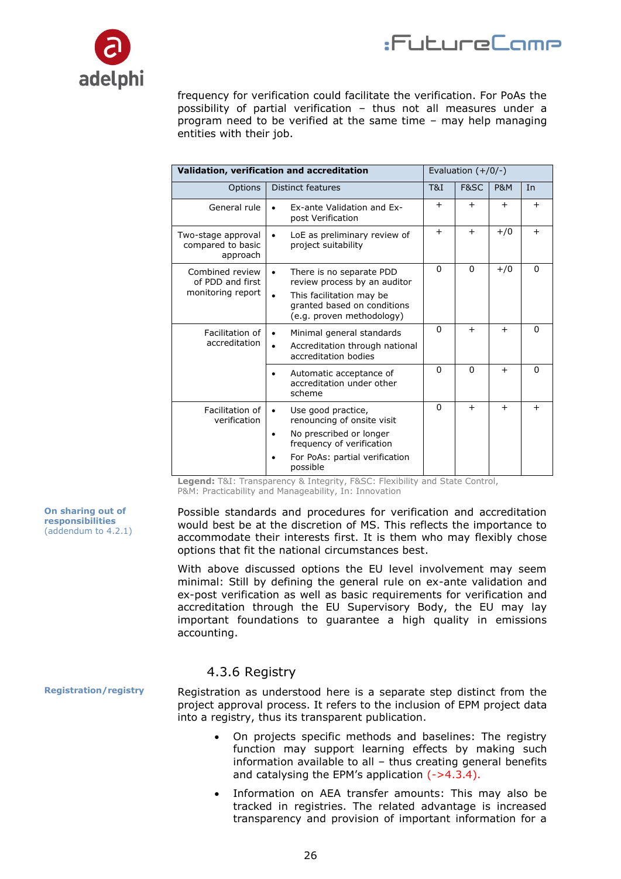



frequency for verification could facilitate the verification. For PoAs the possibility of partial verification – thus not all measures under a program need to be verified at the same time – may help managing entities with their job.

| Validation, verification and accreditation               |                                                                                                                                                                            |          | Evaluation $(+/0/-)$ |                |          |
|----------------------------------------------------------|----------------------------------------------------------------------------------------------------------------------------------------------------------------------------|----------|----------------------|----------------|----------|
| Options                                                  | <b>Distinct features</b>                                                                                                                                                   | T&I      | F&SC                 | <b>P&amp;M</b> | In       |
| General rule                                             | Ex-ante Validation and Ex-<br>$\bullet$<br>post Verification                                                                                                               | $+$      | $+$                  | $+$            | $+$      |
| Two-stage approval<br>compared to basic<br>approach      | LoE as preliminary review of<br>$\bullet$<br>project suitability                                                                                                           | $+$      | $+$                  | $+/0$          | $+$      |
| Combined review<br>of PDD and first<br>monitoring report | There is no separate PDD<br>$\bullet$<br>review process by an auditor<br>This facilitation may be<br>$\bullet$<br>granted based on conditions<br>(e.g. proven methodology) | $\Omega$ | $\Omega$             | $+/0$          | $\Omega$ |
| Facilitation of<br>accreditation                         | Minimal general standards<br>$\bullet$<br>Accreditation through national<br>$\bullet$<br>accreditation bodies                                                              | 0        | $+$                  | $+$            | $\Omega$ |
|                                                          | Automatic acceptance of<br>accreditation under other<br>scheme                                                                                                             | $\Omega$ | $\Omega$             | $+$            | $\Omega$ |
| Facilitation of<br>verification                          | Use good practice,<br>renouncing of onsite visit<br>No prescribed or longer<br>$\bullet$<br>frequency of verification<br>For PoAs: partial verification<br>possible        | $\Omega$ | $+$                  | $+$            | $+$      |

**Legend:** T&I: Transparency & Integrity, F&SC: Flexibility and State Control, P&M: Practicability and Manageability, In: Innovation

Possible standards and procedures for verification and accreditation would best be at the discretion of MS. This reflects the importance to accommodate their interests first. It is them who may flexibly chose options that fit the national circumstances best.

With above discussed options the EU level involvement may seem minimal: Still by defining the general rule on ex-ante validation and ex-post verification as well as basic requirements for verification and accreditation through the EU Supervisory Body, the EU may lay important foundations to guarantee a high quality in emissions accounting.

### 4.3.6 Registry

<span id="page-25-0"></span>Registration as understood here is a separate step distinct from the project approval process. It refers to the inclusion of EPM project data into a registry, thus its transparent publication.

- On projects specific methods and baselines: The registry function may support learning effects by making such information available to all – thus creating general benefits and catalysing the EPM's application  $(->4.3.4)$ .
- Information on AEA transfer amounts: This may also be tracked in registries. The related advantage is increased transparency and provision of important information for a

**On sharing out of responsibilities**  (addendum to 4.2.1)

**Registration/registry**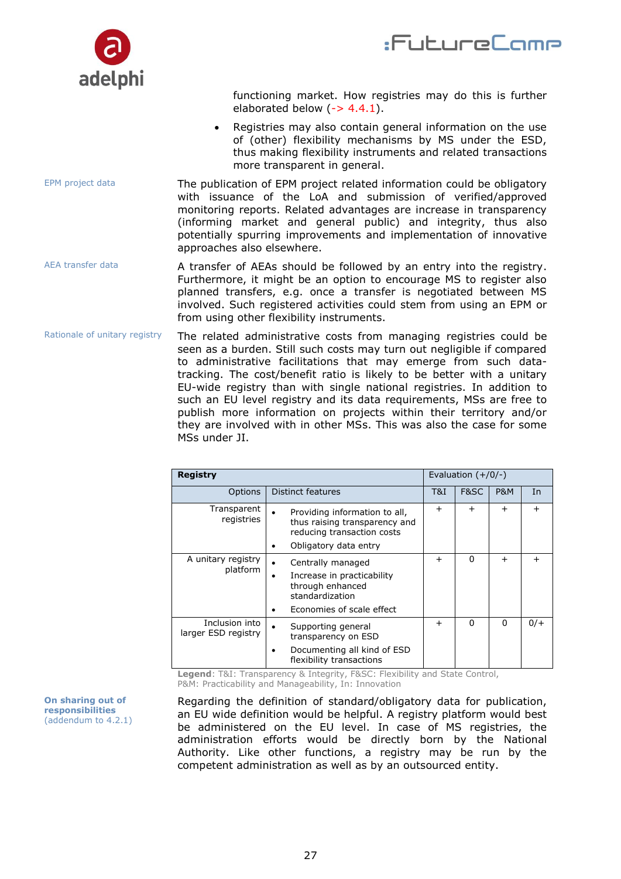

:FutureCome

functioning market. How registries may do this is further elaborated below  $(-)$  4.4.1).

- Registries may also contain general information on the use of (other) flexibility mechanisms by MS under the ESD, thus making flexibility instruments and related transactions more transparent in general.
- The publication of EPM project related information could be obligatory with issuance of the LoA and submission of verified/approved monitoring reports. Related advantages are increase in transparency (informing market and general public) and integrity, thus also potentially spurring improvements and implementation of innovative approaches also elsewhere. EPM project data
- A transfer of AEAs should be followed by an entry into the registry. Furthermore, it might be an option to encourage MS to register also planned transfers, e.g. once a transfer is negotiated between MS involved. Such registered activities could stem from using an EPM or from using other flexibility instruments. AEA transfer data
- The related administrative costs from managing registries could be seen as a burden. Still such costs may turn out negligible if compared to administrative facilitations that may emerge from such datatracking. The cost/benefit ratio is likely to be better with a unitary EU-wide registry than with single national registries. In addition to such an EU level registry and its data requirements, MSs are free to publish more information on projects within their territory and/or they are involved with in other MSs. This was also the case for some MSs under JI. Rationale of unitary registry

| <b>Registry</b><br>Evaluation $(+/0/-)$ |                                                                                                                       |                |          |                |        |
|-----------------------------------------|-----------------------------------------------------------------------------------------------------------------------|----------------|----------|----------------|--------|
| <b>Options</b>                          | Distinct features                                                                                                     | <b>T&amp;I</b> | F&SC     | <b>P&amp;M</b> | In     |
| Transparent<br>registries               | Providing information to all,<br>thus raising transparency and<br>reducing transaction costs<br>Obligatory data entry | $\ddot{}$      | $\div$   | $+$            | $+$    |
| A unitary registry<br>platform          | Centrally managed<br>Increase in practicability<br>through enhanced<br>standardization<br>Economies of scale effect   | $\ddot{}$      | $\Omega$ | $+$            | $\div$ |
| Inclusion into<br>larger ESD registry   | Supporting general<br>transparency on ESD<br>Documenting all kind of ESD<br>flexibility transactions                  | $\ddot{}$      | $\Omega$ | $\Omega$       | $0/+$  |

**Legend**: T&I: Transparency & Integrity, F&SC: Flexibility and State Control, P&M: Practicability and Manageability, In: Innovation

**On sharing out of responsibilities**  (addendum to 4.2.1) Regarding the definition of standard/obligatory data for publication, an EU wide definition would be helpful. A registry platform would best be administered on the EU level. In case of MS registries, the administration efforts would be directly born by the National Authority. Like other functions, a registry may be run by the competent administration as well as by an outsourced entity.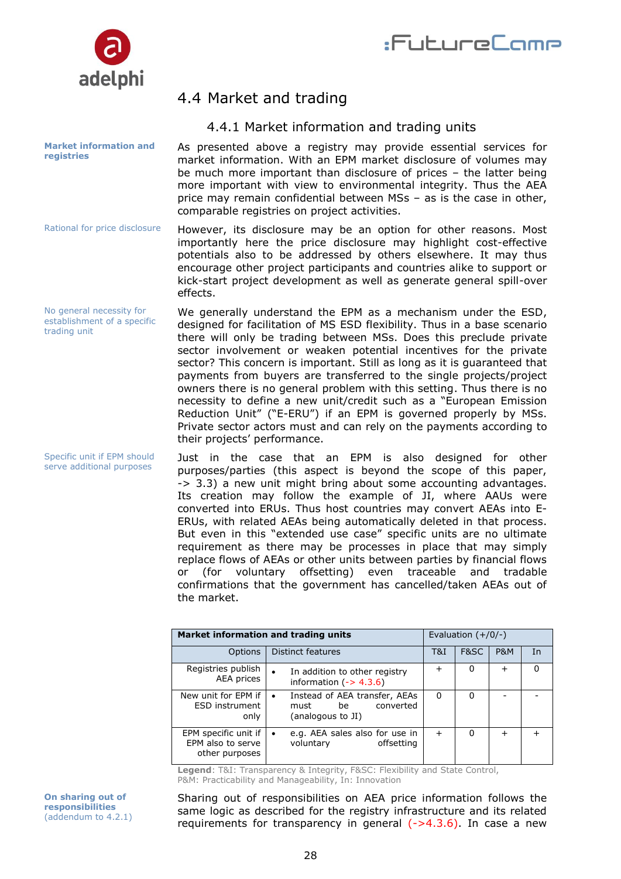



No general necessity for establishment of a specific

Specific unit if EPM should serve additional purposes

trading unit

## <span id="page-27-0"></span>4.4 Market and trading

### <span id="page-27-1"></span>4.4.1 Market information and trading units

As presented above a registry may provide essential services for market information. With an EPM market disclosure of volumes may be much more important than disclosure of prices – the latter being more important with view to environmental integrity. Thus the AEA price may remain confidential between MSs – as is the case in other, comparable registries on project activities. **Market information and registries** Rational for price disclosure

However, its disclosure may be an option for other reasons. Most importantly here the price disclosure may highlight cost-effective potentials also to be addressed by others elsewhere. It may thus encourage other project participants and countries alike to support or kick-start project development as well as generate general spill-over effects.

We generally understand the EPM as a mechanism under the ESD, designed for facilitation of MS ESD flexibility. Thus in a base scenario there will only be trading between MSs. Does this preclude private sector involvement or weaken potential incentives for the private sector? This concern is important. Still as long as it is guaranteed that payments from buyers are transferred to the single projects/project owners there is no general problem with this setting. Thus there is no necessity to define a new unit/credit such as a "European Emission Reduction Unit" ("E-ERU") if an EPM is governed properly by MSs. Private sector actors must and can rely on the payments according to their projects' performance.

Just in the case that an EPM is also designed for other purposes/parties (this aspect is beyond the scope of this paper, -> 3.3) a new unit might bring about some accounting advantages. Its creation may follow the example of JI, where AAUs were converted into ERUs. Thus host countries may convert AEAs into E-ERUs, with related AEAs being automatically deleted in that process. But even in this "extended use case" specific units are no ultimate requirement as there may be processes in place that may simply replace flows of AEAs or other units between parties by financial flows or (for voluntary offsetting) even traceable and tradable confirmations that the government has cancelled/taken AEAs out of the market.

| Market information and trading units                        |                                                                                  | Evaluation $(+/0/-)$ |          |                |    |
|-------------------------------------------------------------|----------------------------------------------------------------------------------|----------------------|----------|----------------|----|
| <b>Options</b>                                              | Distinct features                                                                | T&I                  | F&SC     | <b>P&amp;M</b> | In |
| Registries publish<br>AEA prices                            | In addition to other registry<br>information $(-> 4.3.6)$                        | $\ddot{}$            | 0        | $\div$         | U  |
| New unit for EPM if<br><b>ESD</b> instrument<br>only        | Instead of AEA transfer, AEAs<br>converted<br>he be<br>must<br>(analogous to JI) | $\Omega$             | $\Omega$ |                |    |
| EPM specific unit if<br>EPM also to serve<br>other purposes | e.g. AEA sales also for use in<br>voluntary<br>offsetting                        | $\ddot{}$            | 0        | $\div$         |    |

**Legend**: T&I: Transparency & Integrity, F&SC: Flexibility and State Control, P&M: Practicability and Manageability, In: Innovation

**On sharing out of responsibilities** (addendum to 4.2.1) Sharing out of responsibilities on AEA price information follows the same logic as described for the registry infrastructure and its related requirements for transparency in general  $(-24.3.6)$ . In case a new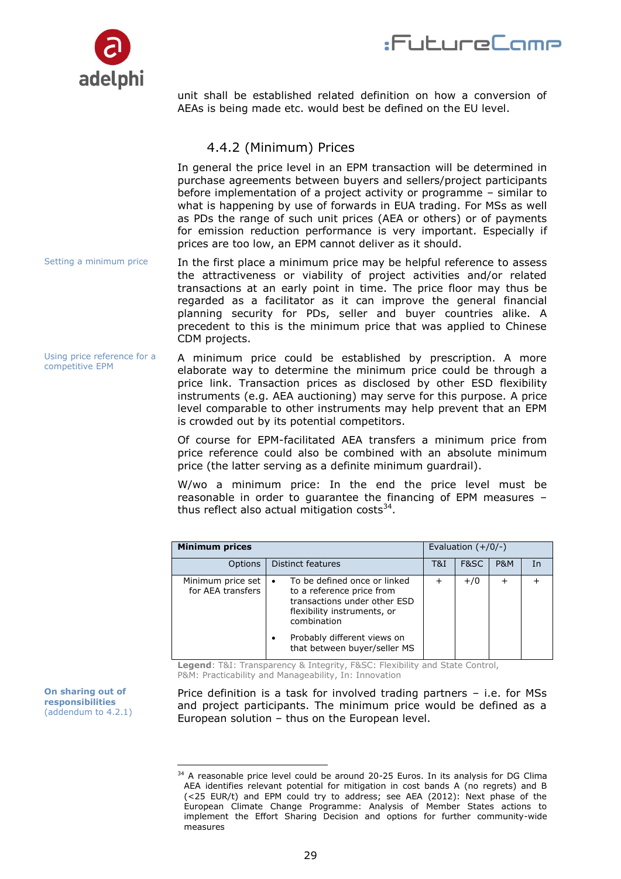



unit shall be established related definition on how a conversion of AEAs is being made etc. would best be defined on the EU level.

### 4.4.2 (Minimum) Prices

<span id="page-28-0"></span>In general the price level in an EPM transaction will be determined in purchase agreements between buyers and sellers/project participants before implementation of a project activity or programme – similar to what is happening by use of forwards in EUA trading. For MSs as well as PDs the range of such unit prices (AEA or others) or of payments for emission reduction performance is very important. Especially if prices are too low, an EPM cannot deliver as it should.

In the first place a minimum price may be helpful reference to assess the attractiveness or viability of project activities and/or related transactions at an early point in time. The price floor may thus be regarded as a facilitator as it can improve the general financial planning security for PDs, seller and buyer countries alike. A precedent to this is the minimum price that was applied to Chinese CDM projects. Setting a minimum price

A minimum price could be established by prescription. A more elaborate way to determine the minimum price could be through a price link. Transaction prices as disclosed by other ESD flexibility instruments (e.g. AEA auctioning) may serve for this purpose. A price level comparable to other instruments may help prevent that an EPM is crowded out by its potential competitors. Using price reference for a competitive EPM

> Of course for EPM-facilitated AEA transfers a minimum price from price reference could also be combined with an absolute minimum price (the latter serving as a definite minimum guardrail).

> W/wo a minimum price: In the end the price level must be reasonable in order to guarantee the financing of EPM measures – thus reflect also actual mitigation costs $^{34}$ .

| <b>Minimum prices</b>                  |                                                                                                                                              | Evaluation $(+/0/-)$ |       |                |    |
|----------------------------------------|----------------------------------------------------------------------------------------------------------------------------------------------|----------------------|-------|----------------|----|
| <b>Options</b>                         | Distinct features                                                                                                                            | T&I                  | F&SC  | <b>P&amp;M</b> | In |
| Minimum price set<br>for AEA transfers | To be defined once or linked<br>٠<br>to a reference price from<br>transactions under other ESD<br>flexibility instruments, or<br>combination | $\div$               | $+/0$ | $+$            |    |
|                                        | Probably different views on<br>that between buyer/seller MS                                                                                  |                      |       |                |    |

**Legend**: T&I: Transparency & Integrity, F&SC: Flexibility and State Control, P&M: Practicability and Manageability, In: Innovation

Price definition is a task for involved trading partners – i.e. for MSs and project participants. The minimum price would be defined as a European solution – thus on the European level.

**On sharing out of responsibilities** (addendum to 4.2.1)

-

<sup>&</sup>lt;sup>34</sup> A reasonable price level could be around 20-25 Euros. In its analysis for DG Clima AEA identifies relevant potential for mitigation in cost bands A (no regrets) and B (<25 EUR/t) and EPM could try to address; see AEA (2012): Next phase of the European Climate Change Programme: Analysis of Member States actions to implement the Effort Sharing Decision and options for further community-wide measures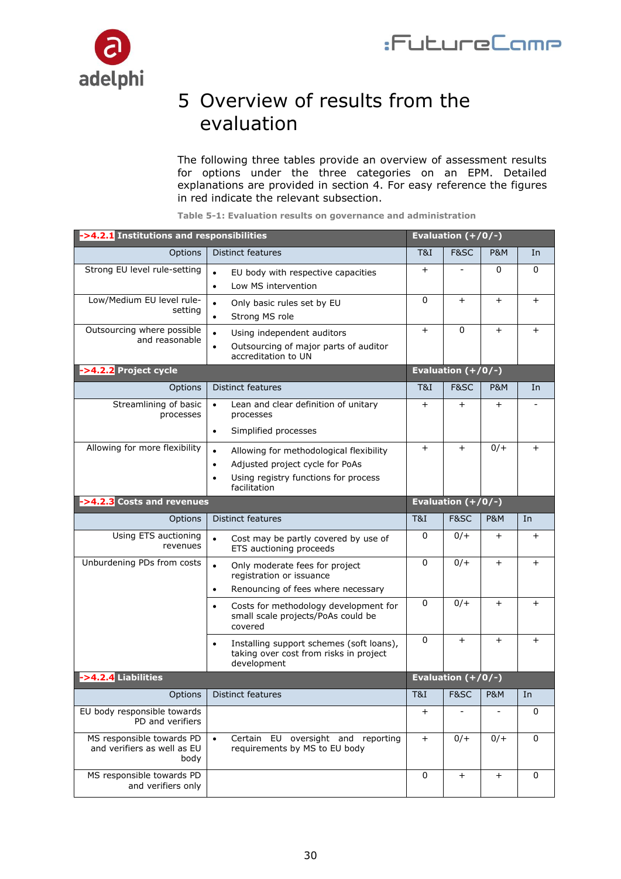

# <span id="page-29-0"></span>5 Overview of results from the evaluation

The following three tables provide an overview of assessment results for options under the three categories on an EPM. Detailed explanations are provided in section 4. For easy reference the figures in red indicate the relevant subsection.

| ->4.2.1 Institutions and responsibilities                        |                                                                                                                |                      | Evaluation $(+/0/-)$ |                |             |
|------------------------------------------------------------------|----------------------------------------------------------------------------------------------------------------|----------------------|----------------------|----------------|-------------|
| Options                                                          | <b>Distinct features</b>                                                                                       | T&I                  | F&SC                 | P&M            | In          |
| Strong EU level rule-setting                                     | $\bullet$<br>EU body with respective capacities                                                                | $\ddot{}$            |                      | 0              | 0           |
|                                                                  | Low MS intervention<br>$\bullet$                                                                               |                      |                      |                |             |
| Low/Medium EU level rule-<br>setting                             | $\bullet$<br>Only basic rules set by EU                                                                        | $\Omega$             | $+$                  | $+$            | $+$         |
|                                                                  | Strong MS role<br>$\bullet$                                                                                    |                      |                      |                |             |
| Outsourcing where possible<br>and reasonable                     | $\bullet$<br>Using independent auditors                                                                        | $\ddot{}$            | 0                    | $^{+}$         | $\ddot{}$   |
|                                                                  | Outsourcing of major parts of auditor<br>$\bullet$<br>accreditation to UN                                      |                      |                      |                |             |
| ->4.2.2 Project cycle                                            |                                                                                                                |                      | Evaluation $(+/0/-)$ |                |             |
| Options                                                          | <b>Distinct features</b>                                                                                       | T&I                  | F&SC                 | P&M            | In          |
| Streamlining of basic<br>processes                               | Lean and clear definition of unitary<br>$\bullet$<br>processes                                                 | $\ddot{}$            | $\ddot{}$            | $^{+}$         |             |
|                                                                  | Simplified processes<br>$\bullet$                                                                              |                      |                      |                |             |
| Allowing for more flexibility                                    | $\bullet$<br>Allowing for methodological flexibility                                                           | $+$                  | $+$                  | $0/+$          | $\ddot{}$   |
|                                                                  | Adjusted project cycle for PoAs<br>$\bullet$                                                                   |                      |                      |                |             |
|                                                                  | Using registry functions for process<br>$\bullet$<br>facilitation                                              |                      |                      |                |             |
| ->4.2.3 Costs and revenues                                       |                                                                                                                | Evaluation $(+/0/-)$ |                      |                |             |
| Options                                                          | <b>Distinct features</b>                                                                                       | T&I                  | F&SC                 | <b>P&amp;M</b> | In          |
| Using ETS auctioning<br>revenues                                 | $\bullet$<br>Cost may be partly covered by use of<br>ETS auctioning proceeds                                   | $\Omega$             | $0/+$                | $^{+}$         | $\pm$       |
| Unburdening PDs from costs                                       | $\bullet$<br>Only moderate fees for project<br>registration or issuance                                        | $\mathbf 0$          | $0/+$                | $^{+}$         | $\ddot{}$   |
|                                                                  | Renouncing of fees where necessary<br>$\bullet$                                                                |                      |                      |                |             |
|                                                                  | Costs for methodology development for<br>$\bullet$<br>small scale projects/PoAs could be<br>covered            | $\mathbf 0$          | $0/+$                | $+$            | $+$         |
|                                                                  | Installing support schemes (soft loans),<br>$\bullet$<br>taking over cost from risks in project<br>development | $\overline{0}$       | $+$                  | $^{+}$         | $\ddot{}$   |
| ->4.2.4 Liabilities                                              |                                                                                                                | Evaluation $(+/0/-)$ |                      |                |             |
|                                                                  | Options   Distinct features                                                                                    | T&I                  | F&SC                 | <b>P&amp;M</b> | In          |
| EU body responsible towards<br>PD and verifiers                  |                                                                                                                | $\,{}^+$             |                      |                | 0           |
| MS responsible towards PD<br>and verifiers as well as EU<br>body | Certain EU<br>oversight and reporting<br>$\bullet$<br>requirements by MS to EU body                            | $\ddot{}$            | $0/+$                | $0/+$          | $\mathbf 0$ |
| MS responsible towards PD<br>and verifiers only                  |                                                                                                                | $\pmb{0}$            | $\ddot{}$            | $\ddot{}$      | 0           |

**Table 5-1: Evaluation results on governance and administration**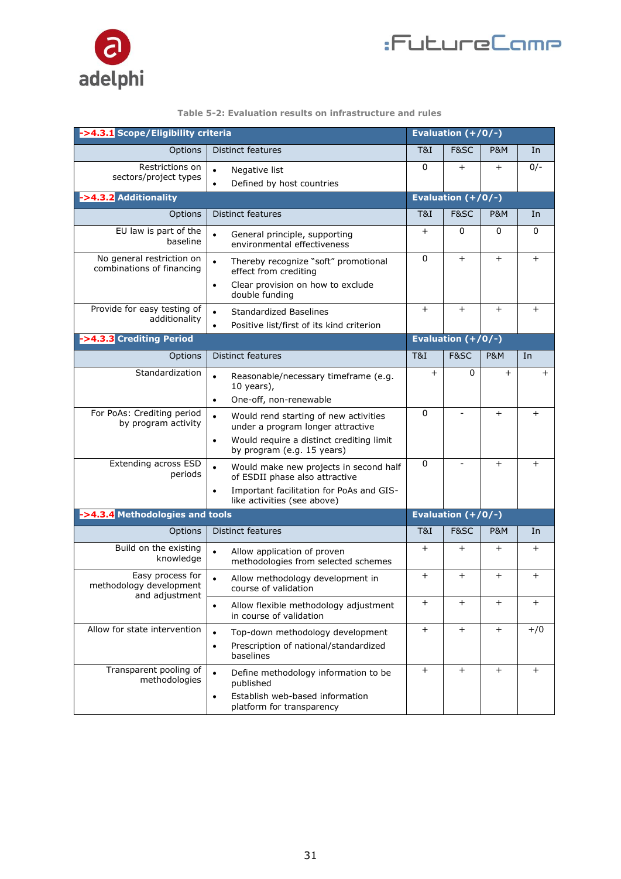



#### **Table 5-2: Evaluation results on infrastructure and rules**

| ->4.3.1 Scope/Eligibility criteria                            |                                                                                                                                             |           | Evaluation $(+/0/-)$ |                |           |
|---------------------------------------------------------------|---------------------------------------------------------------------------------------------------------------------------------------------|-----------|----------------------|----------------|-----------|
| Options                                                       | <b>Distinct features</b>                                                                                                                    | T&I       | F&SC                 | P&M            | In        |
| Restrictions on<br>sectors/project types                      | $\bullet$<br>Negative list<br>Defined by host countries                                                                                     | 0         | $\pm$                | $^{+}$         | $0/-$     |
| ->4.3.2 Additionality                                         |                                                                                                                                             |           | Evaluation $(+/0/-)$ |                |           |
| Options                                                       | <b>Distinct features</b>                                                                                                                    | T&I       | F&SC                 | <b>P&amp;M</b> | In        |
| EU law is part of the<br>baseline                             | General principle, supporting<br>environmental effectiveness                                                                                | $\ddot{}$ | 0                    | 0              | 0         |
| No general restriction on<br>combinations of financing        | $\bullet$<br>Thereby recognize "soft" promotional<br>effect from crediting<br>Clear provision on how to exclude<br>$\bullet$                | $\Omega$  | $+$                  | $+$            | $+$       |
|                                                               | double funding                                                                                                                              |           |                      |                |           |
| Provide for easy testing of<br>additionality                  | $\bullet$<br><b>Standardized Baselines</b><br>$\bullet$<br>Positive list/first of its kind criterion                                        | $+$       | $+$                  | $+$            | $\ddot{}$ |
| ->4.3.3 Crediting Period                                      |                                                                                                                                             |           | Evaluation $(+/0/-)$ |                |           |
| Options                                                       | <b>Distinct features</b>                                                                                                                    | T&I       | F&SC                 | P&M            | In        |
| Standardization                                               | $\bullet$<br>Reasonable/necessary timeframe (e.g.<br>$10$ years),                                                                           | $\ddot{}$ | 0                    | $+$            | $\pm$     |
|                                                               | One-off, non-renewable<br>$\bullet$                                                                                                         |           |                      |                |           |
| For PoAs: Crediting period<br>by program activity             | Would rend starting of new activities<br>under a program longer attractive<br>Would require a distinct crediting limit<br>$\bullet$         | 0         |                      | $+$            | $\ddot{}$ |
| <b>Extending across ESD</b>                                   | by program (e.g. 15 years)<br>$\bullet$<br>Would make new projects in second half                                                           | 0         |                      | $+$            | $+$       |
| periods                                                       | of ESDII phase also attractive<br>Important facilitation for PoAs and GIS-<br>$\bullet$                                                     |           |                      |                |           |
|                                                               | like activities (see above)                                                                                                                 |           |                      |                |           |
| ->4.3.4 Methodologies and tools                               |                                                                                                                                             |           | Evaluation $(+/0/-)$ |                |           |
| Options                                                       | <b>Distinct features</b>                                                                                                                    | T&I       | F&SC                 | P&M            | In        |
| Build on the existing<br>knowledge                            | $\bullet$<br>Allow application of proven<br>methodologies from selected schemes                                                             | $\,{}^+$  | $\pm$                | $\ddot{}$      | $\ddot{}$ |
| Easy process for<br>methodology development<br>and adjustment | $\bullet$<br>Allow methodology development in<br>course of validation                                                                       | $\pm$     | $\pm$                | $^{+}$         | $\ddot{}$ |
|                                                               | Allow flexible methodology adjustment<br>$\bullet$<br>in course of validation                                                               | $\pm$     | $\pm$                | $^{+}$         | $\pm$     |
| Allow for state intervention                                  | $\bullet$<br>Top-down methodology development<br>Prescription of national/standardized<br>$\bullet$<br>baselines                            | $\ddot{}$ | $^+$                 | $\pm$          | $+/0$     |
| Transparent pooling of<br>methodologies                       | $\bullet$<br>Define methodology information to be<br>published<br>Establish web-based information<br>$\bullet$<br>platform for transparency | $\ddot{}$ | $+$                  | $+$            | $+$       |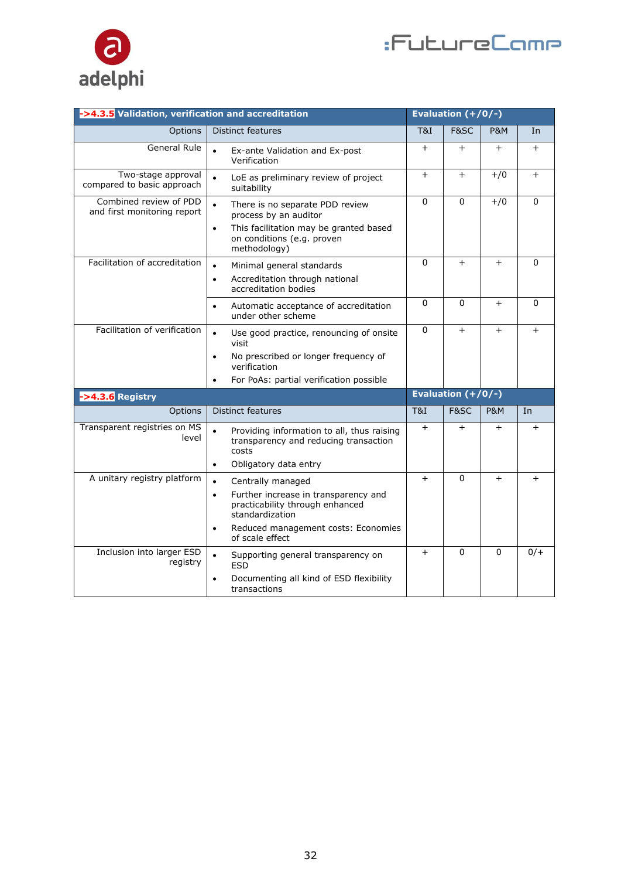



| ->4.3.5 Validation, verification and accreditation    |                                                                                                                                                                                                                  |                      | Evaluation $(+/0/-)$ |                  |          |
|-------------------------------------------------------|------------------------------------------------------------------------------------------------------------------------------------------------------------------------------------------------------------------|----------------------|----------------------|------------------|----------|
| Options                                               | <b>Distinct features</b>                                                                                                                                                                                         | <b>T&amp;I</b>       | F&SC                 | <b>P&amp;M</b>   | In       |
| General Rule                                          | $\bullet$<br>Ex-ante Validation and Ex-post<br>Verification                                                                                                                                                      | $+$                  | $+$                  | $+$              | $+$      |
| Two-stage approval<br>compared to basic approach      | $\bullet$<br>LoE as preliminary review of project<br>suitability                                                                                                                                                 | $\ddot{}$            | $+$                  | $+/0$            | $+$      |
| Combined review of PDD<br>and first monitoring report | $\bullet$<br>There is no separate PDD review<br>process by an auditor<br>This facilitation may be granted based<br>$\bullet$<br>on conditions (e.g. proven<br>methodology)                                       | $\Omega$             | $\Omega$             | $+/\overline{0}$ | 0        |
| Facilitation of accreditation                         | $\bullet$<br>Minimal general standards<br>Accreditation through national<br>$\bullet$<br>accreditation bodies                                                                                                    | $\Omega$             | $+$                  | $+$              | $\Omega$ |
|                                                       | Automatic acceptance of accreditation<br>$\bullet$<br>under other scheme                                                                                                                                         | 0                    | $\Omega$             | $\pm$            | 0        |
| Facilitation of verification                          | $\bullet$<br>Use good practice, renouncing of onsite<br>visit<br>No prescribed or longer frequency of<br>$\bullet$<br>verification<br>For PoAs: partial verification possible<br>$\bullet$                       | $\Omega$             | $+$                  | $+$              | $+$      |
| $-$ >4.3.6 Registry                                   |                                                                                                                                                                                                                  | Evaluation $(+/0/-)$ |                      |                  |          |
| Options                                               | <b>Distinct features</b>                                                                                                                                                                                         | <b>T&amp;I</b>       | F&SC                 | <b>P&amp;M</b>   | In       |
| Transparent registries on MS<br>level                 | $\bullet$<br>Providing information to all, thus raising<br>transparency and reducing transaction<br>costs<br>Obligatory data entry<br>$\bullet$                                                                  | $+$                  | $+$                  | $\ddot{}$        | $+$      |
| A unitary registry platform                           | $\bullet$<br>Centrally managed<br>Further increase in transparency and<br>$\bullet$<br>practicability through enhanced<br>standardization<br>Reduced management costs: Economies<br>$\bullet$<br>of scale effect | $+$                  | $\Omega$             | $+$              | $+$      |
| Inclusion into larger ESD<br>registry                 | $\bullet$<br>Supporting general transparency on<br><b>ESD</b><br>Documenting all kind of ESD flexibility<br>$\bullet$<br>transactions                                                                            | $\ddot{}$            | 0                    | 0                | $0/+$    |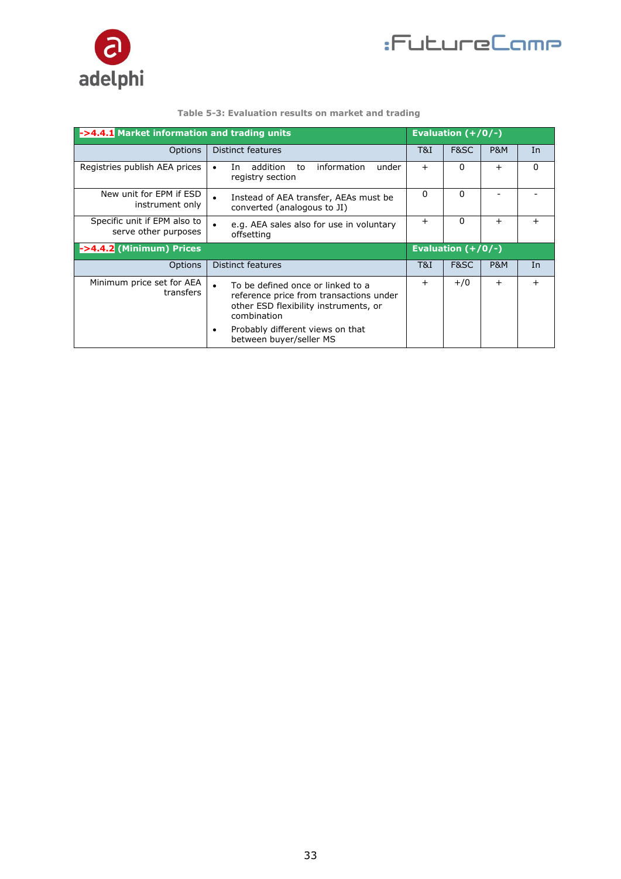



| ->4.4.1 Market information and trading units         |                                                                                                                                                                                                          |                | <b>Evaluation <math>(+/0/-)</math></b> |           |              |
|------------------------------------------------------|----------------------------------------------------------------------------------------------------------------------------------------------------------------------------------------------------------|----------------|----------------------------------------|-----------|--------------|
| <b>Options</b>                                       | Distinct features                                                                                                                                                                                        | T&I            | F&SC                                   | P&M       | In           |
| Registries publish AEA prices                        | information<br>addition<br>under<br>to<br>In.<br>$\bullet$<br>registry section                                                                                                                           | $^{+}$         | $\Omega$                               | $\ddot{}$ | $\mathbf{0}$ |
| New unit for EPM if ESD<br>instrument only           | Instead of AEA transfer, AEAs must be<br>$\bullet$<br>converted (analogous to JI)                                                                                                                        | 0              | $\Omega$                               |           |              |
| Specific unit if EPM also to<br>serve other purposes | e.g. AEA sales also for use in voluntary<br>offsetting                                                                                                                                                   | $\overline{+}$ | $\Omega$                               | $\pm$     |              |
| ->4.4.2 (Minimum) Prices                             |                                                                                                                                                                                                          |                | Evaluation $(+/0/-)$                   |           |              |
| <b>Options</b>                                       | Distinct features                                                                                                                                                                                        | T&I            | F&SC                                   | P&M       | In           |
| Minimum price set for AEA<br>transfers               | To be defined once or linked to a<br>reference price from transactions under<br>other ESD flexibility instruments, or<br>combination<br>Probably different views on that<br>٠<br>between buyer/seller MS | $\overline{+}$ | $+/0$                                  | $\ddot{}$ | $+$          |

#### **Table 5-3: Evaluation results on market and trading**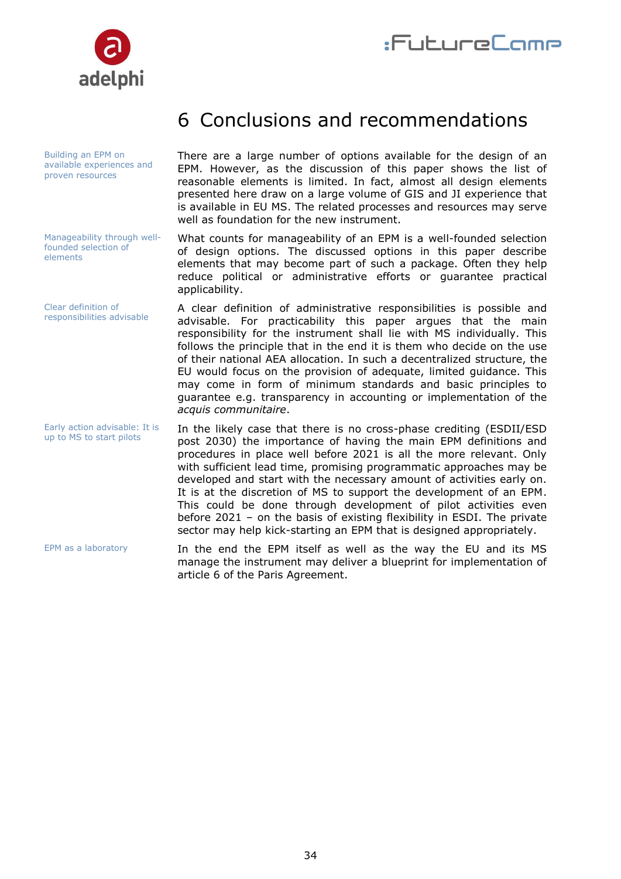

Building an EPM on available experiences and proven resources

Manageability through wellfounded selection of elements

Clear definition of responsibilities advisable

Early action advisable: It is up to MS to start pilots

# <span id="page-33-0"></span>6 Conclusions and recommendations

There are a large number of options available for the design of an EPM. However, as the discussion of this paper shows the list of reasonable elements is limited. In fact, almost all design elements presented here draw on a large volume of GIS and JI experience that is available in EU MS. The related processes and resources may serve well as foundation for the new instrument.

What counts for manageability of an EPM is a well-founded selection of design options. The discussed options in this paper describe elements that may become part of such a package. Often they help reduce political or administrative efforts or guarantee practical applicability.

A clear definition of administrative responsibilities is possible and advisable. For practicability this paper argues that the main responsibility for the instrument shall lie with MS individually. This follows the principle that in the end it is them who decide on the use of their national AEA allocation. In such a decentralized structure, the EU would focus on the provision of adequate, limited guidance. This may come in form of minimum standards and basic principles to guarantee e.g. transparency in accounting or implementation of the *acquis communitaire*.

In the likely case that there is no cross-phase crediting (ESDII/ESD post 2030) the importance of having the main EPM definitions and procedures in place well before 2021 is all the more relevant. Only with sufficient lead time, promising programmatic approaches may be developed and start with the necessary amount of activities early on. It is at the discretion of MS to support the development of an EPM. This could be done through development of pilot activities even before 2021 – on the basis of existing flexibility in ESDI. The private sector may help kick-starting an EPM that is designed appropriately.

In the end the EPM itself as well as the way the EU and its MS manage the instrument may deliver a blueprint for implementation of article 6 of the Paris Agreement. EPM as a laboratory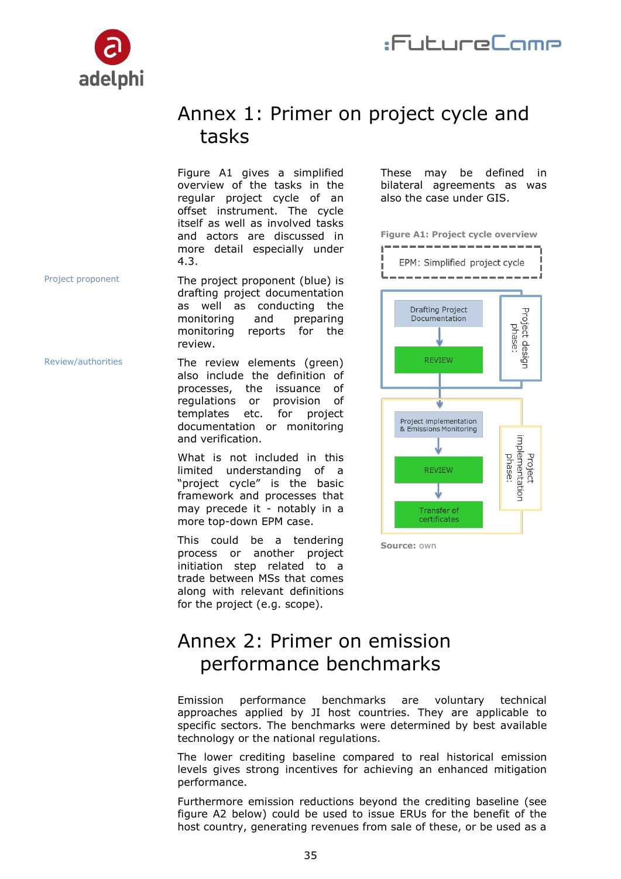

Review/authorities

# <span id="page-34-0"></span>Annex 1: Primer on project cycle and tasks

Figure A1 gives a simplified overview of the tasks in the regular project cycle of an offset instrument. The cycle itself as well as involved tasks and actors are discussed in more detail especially under 4.3.

The project proponent (blue) is drafting project documentation as well as conducting the monitoring and preparing monitoring reports for the review. Project proponent

> The review elements (green) also include the definition of processes, the issuance of regulations or provision of templates etc. for project documentation or monitoring and verification.

What is not included in this limited understanding of a "project cycle" is the basic framework and processes that may precede it - notably in a more top-down EPM case.

This could be a tendering process or another project initiation step related to a trade between MSs that comes along with relevant definitions for the project (e.g. scope).

These may be defined in bilateral agreements as was also the case under GIS.



**Source:** own

# <span id="page-34-1"></span>Annex 2: Primer on emission performance benchmarks

Emission performance benchmarks are voluntary technical approaches applied by JI host countries. They are applicable to specific sectors. The benchmarks were determined by best available technology or the national regulations.

The lower crediting baseline compared to real historical emission levels gives strong incentives for achieving an enhanced mitigation performance.

Furthermore emission reductions beyond the crediting baseline (see figure A2 below) could be used to issue ERUs for the benefit of the host country, generating revenues from sale of these, or be used as a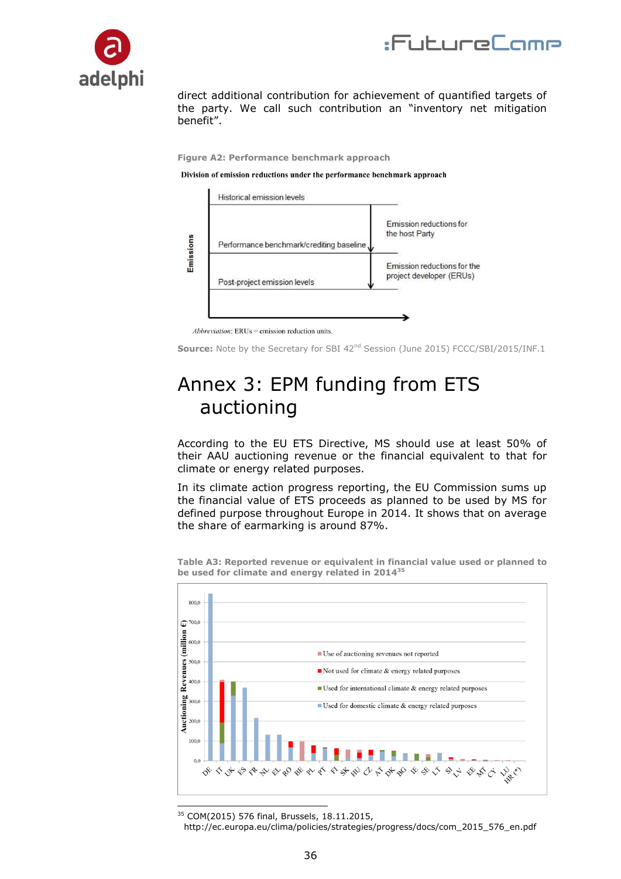



direct additional contribution for achievement of quantified targets of the party. We call such contribution an "inventory net mitigation benefit".

**Figure A2: Performance benchmark approach**





Abbreviation: ERUs = emission reduction units.

**Source:** Note by the Secretary for SBI 42<sup>nd</sup> Session (June 2015) FCCC/SBI/2015/INF.1

# <span id="page-35-0"></span>Annex 3: EPM funding from ETS auctioning

According to the EU ETS Directive, MS should use at least 50% of their AAU auctioning revenue or the financial equivalent to that for climate or energy related purposes.

In its climate action progress reporting, the EU Commission sums up the financial value of ETS proceeds as planned to be used by MS for defined purpose throughout Europe in 2014. It shows that on average the share of earmarking is around 87%.

**Table A3: Reported revenue or equivalent in financial value used or planned to be used for climate and energy related in 2014<sup>35</sup>**



-<sup>35</sup> COM(2015) 576 final, Brussels, 18.11.2015,

http://ec.europa.eu/clima/policies/strategies/progress/docs/com\_2015\_576\_en.pdf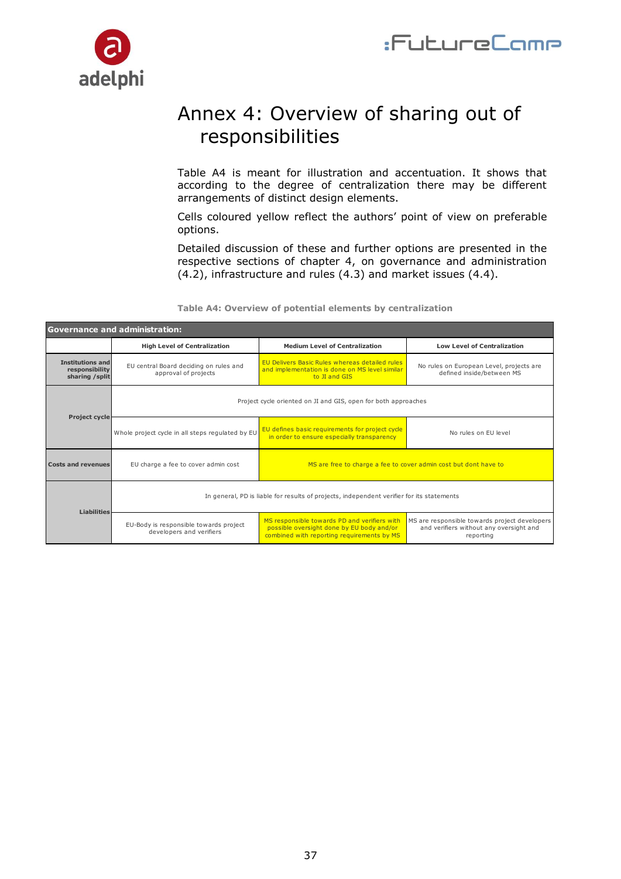



# <span id="page-36-0"></span>Annex 4: Overview of sharing out of responsibilities

Table A4 is meant for illustration and accentuation. It shows that according to the degree of centralization there may be different arrangements of distinct design elements.

Cells coloured yellow reflect the authors' point of view on preferable options.

Detailed discussion of these and further options are presented in the respective sections of chapter 4, on governance and administration (4.2), infrastructure and rules (4.3) and market issues (4.4).

| Governance and administration:                              |                                                                                           |                                                                                                                                         |                                                                                                       |  |
|-------------------------------------------------------------|-------------------------------------------------------------------------------------------|-----------------------------------------------------------------------------------------------------------------------------------------|-------------------------------------------------------------------------------------------------------|--|
|                                                             | <b>High Level of Centralization</b>                                                       | <b>Medium Level of Centralization</b>                                                                                                   | <b>Low Level of Centralization</b>                                                                    |  |
| <b>Institutions and</b><br>responsibility<br>sharing /split | EU central Board deciding on rules and<br>approval of projects                            | EU Delivers Basic Rules whereas detailed rules<br>and implementation is done on MS level similar<br>to II and GIS                       | No rules on European Level, projects are<br>defined inside/between MS                                 |  |
| <b>Project cycle</b>                                        | Project cycle oriented on JI and GIS, open for both approaches                            |                                                                                                                                         |                                                                                                       |  |
|                                                             | Whole project cycle in all steps regulated by EU                                          | EU defines basic requirements for project cycle<br>in order to ensure especially transparency                                           | No rules on EU level                                                                                  |  |
| <b>Costs and revenues</b>                                   | EU charge a fee to cover admin cost                                                       | MS are free to charge a fee to cover admin cost but dont have to                                                                        |                                                                                                       |  |
| <b>Liabilities</b>                                          | In general, PD is liable for results of projects, independent verifier for its statements |                                                                                                                                         |                                                                                                       |  |
|                                                             | EU-Body is responsible towards project<br>developers and verifiers                        | MS responsible towards PD and verifiers with<br>possible oversight done by EU body and/or<br>combined with reporting requirements by MS | MS are responsible towards project developers<br>and verifiers without any oversight and<br>reporting |  |

**Table A4: Overview of potential elements by centralization**